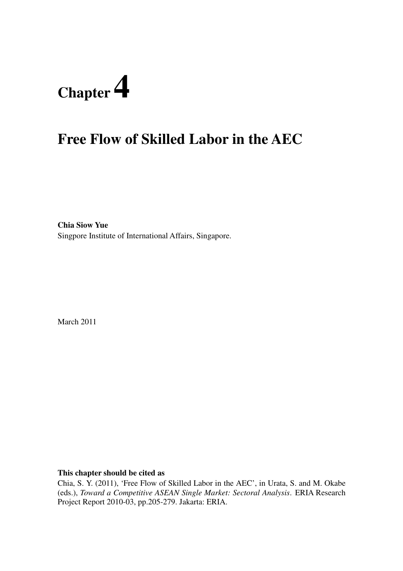# **Chapter 4**

# **Free Flow of Skilled Labor in the AEC**

**Chia Siow Yue**  Singpore Institute of International Affairs, Singapore.

March 2011

**This chapter should be cited as** 

Chia, S. Y. (2011), 'Free Flow of Skilled Labor in the AEC', in Urata, S. and M. Okabe (eds.), *Toward a Competitive ASEAN Single Market: Sectoral Analysis*. ERIA Research Project Report 2010-03, pp.205-279. Jakarta: ERIA.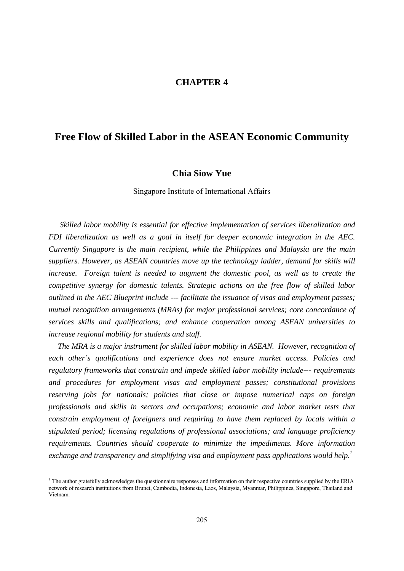#### **CHAPTER 4**

#### **Free Flow of Skilled Labor in the ASEAN Economic Community**

#### **Chia Siow Yue**

Singapore Institute of International Affairs

*Skilled labor mobility is essential for effective implementation of services liberalization and FDI liberalization as well as a goal in itself for deeper economic integration in the AEC. Currently Singapore is the main recipient, while the Philippines and Malaysia are the main suppliers. However, as ASEAN countries move up the technology ladder, demand for skills will increase. Foreign talent is needed to augment the domestic pool, as well as to create the competitive synergy for domestic talents. Strategic actions on the free flow of skilled labor outlined in the AEC Blueprint include --- facilitate the issuance of visas and employment passes; mutual recognition arrangements (MRAs) for major professional services; core concordance of services skills and qualifications; and enhance cooperation among ASEAN universities to increase regional mobility for students and staff.* 

*The MRA is a major instrument for skilled labor mobility in ASEAN. However, recognition of each other's qualifications and experience does not ensure market access. Policies and regulatory frameworks that constrain and impede skilled labor mobility include--- requirements and procedures for employment visas and employment passes; constitutional provisions reserving jobs for nationals; policies that close or impose numerical caps on foreign professionals and skills in sectors and occupations; economic and labor market tests that constrain employment of foreigners and requiring to have them replaced by locals within a stipulated period; licensing regulations of professional associations; and language proficiency requirements. Countries should cooperate to minimize the impediments. More information exchange and transparency and simplifying visa and employment pass applications would help.1*

The author gratefully acknowledges the questionnaire responses and information on their respective countries supplied by the ERIA network of research institutions from Brunei, Cambodia, Indonesia, Laos, Malaysia, Myanmar, Philippines, Singapore, Thailand and Vietnam.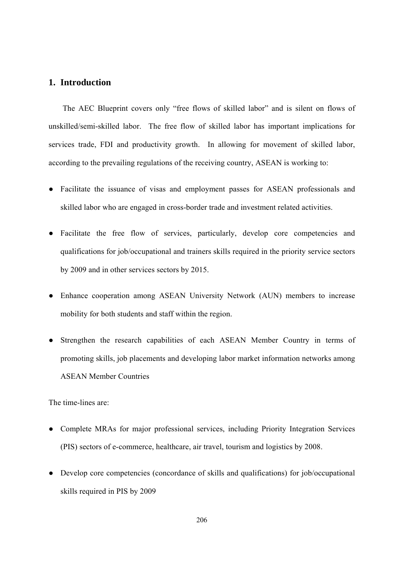#### **1. Introduction**

The AEC Blueprint covers only "free flows of skilled labor" and is silent on flows of unskilled/semi-skilled labor. The free flow of skilled labor has important implications for services trade, FDI and productivity growth. In allowing for movement of skilled labor, according to the prevailing regulations of the receiving country, ASEAN is working to:

- Facilitate the issuance of visas and employment passes for ASEAN professionals and skilled labor who are engaged in cross-border trade and investment related activities.
- Facilitate the free flow of services, particularly, develop core competencies and qualifications for job/occupational and trainers skills required in the priority service sectors by 2009 and in other services sectors by 2015.
- Enhance cooperation among ASEAN University Network (AUN) members to increase mobility for both students and staff within the region.
- Strengthen the research capabilities of each ASEAN Member Country in terms of promoting skills, job placements and developing labor market information networks among ASEAN Member Countries

The time-lines are:

- Complete MRAs for major professional services, including Priority Integration Services (PIS) sectors of e-commerce, healthcare, air travel, tourism and logistics by 2008.
- Develop core competencies (concordance of skills and qualifications) for job/occupational skills required in PIS by 2009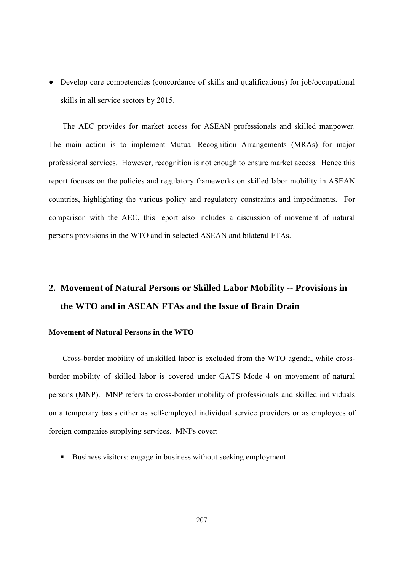● Develop core competencies (concordance of skills and qualifications) for job/occupational skills in all service sectors by 2015.

The AEC provides for market access for ASEAN professionals and skilled manpower. The main action is to implement Mutual Recognition Arrangements (MRAs) for major professional services. However, recognition is not enough to ensure market access. Hence this report focuses on the policies and regulatory frameworks on skilled labor mobility in ASEAN countries, highlighting the various policy and regulatory constraints and impediments. For comparison with the AEC, this report also includes a discussion of movement of natural persons provisions in the WTO and in selected ASEAN and bilateral FTAs.

# **2. Movement of Natural Persons or Skilled Labor Mobility -- Provisions in the WTO and in ASEAN FTAs and the Issue of Brain Drain**

#### **Movement of Natural Persons in the WTO**

Cross-border mobility of unskilled labor is excluded from the WTO agenda, while crossborder mobility of skilled labor is covered under GATS Mode 4 on movement of natural persons (MNP). MNP refers to cross-border mobility of professionals and skilled individuals on a temporary basis either as self-employed individual service providers or as employees of foreign companies supplying services. MNPs cover:

Business visitors: engage in business without seeking employment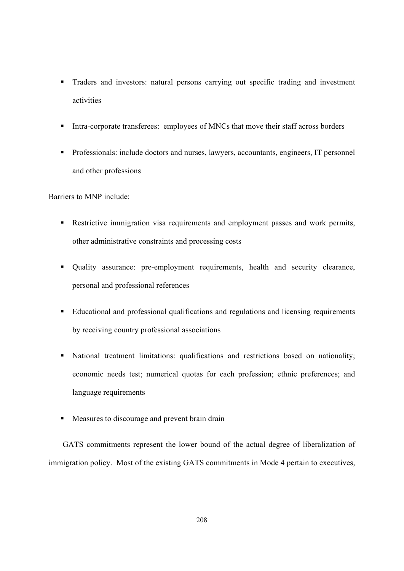- Traders and investors: natural persons carrying out specific trading and investment activities
- Intra-corporate transferees: employees of MNCs that move their staff across borders
- Professionals: include doctors and nurses, lawyers, accountants, engineers, IT personnel and other professions

Barriers to MNP include:

- Restrictive immigration visa requirements and employment passes and work permits, other administrative constraints and processing costs
- Quality assurance: pre-employment requirements, health and security clearance, personal and professional references
- Educational and professional qualifications and regulations and licensing requirements by receiving country professional associations
- National treatment limitations: qualifications and restrictions based on nationality; economic needs test; numerical quotas for each profession; ethnic preferences; and language requirements
- **Measures to discourage and prevent brain drain**

GATS commitments represent the lower bound of the actual degree of liberalization of immigration policy. Most of the existing GATS commitments in Mode 4 pertain to executives,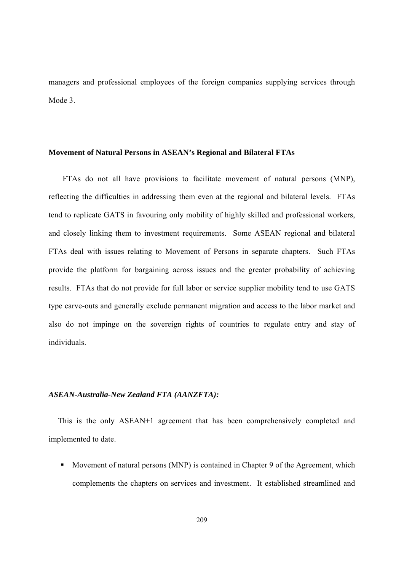managers and professional employees of the foreign companies supplying services through Mode 3.

#### **Movement of Natural Persons in ASEAN's Regional and Bilateral FTAs**

FTAs do not all have provisions to facilitate movement of natural persons (MNP), reflecting the difficulties in addressing them even at the regional and bilateral levels. FTAs tend to replicate GATS in favouring only mobility of highly skilled and professional workers, and closely linking them to investment requirements. Some ASEAN regional and bilateral FTAs deal with issues relating to Movement of Persons in separate chapters. Such FTAs provide the platform for bargaining across issues and the greater probability of achieving results. FTAs that do not provide for full labor or service supplier mobility tend to use GATS type carve-outs and generally exclude permanent migration and access to the labor market and also do not impinge on the sovereign rights of countries to regulate entry and stay of individuals.

#### *ASEAN-Australia-New Zealand FTA (AANZFTA):*

This is the only ASEAN+1 agreement that has been comprehensively completed and implemented to date.

Movement of natural persons (MNP) is contained in Chapter 9 of the Agreement, which complements the chapters on services and investment. It established streamlined and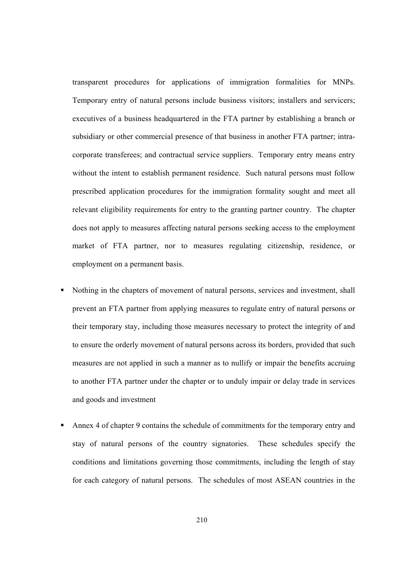transparent procedures for applications of immigration formalities for MNPs. Temporary entry of natural persons include business visitors; installers and servicers; executives of a business headquartered in the FTA partner by establishing a branch or subsidiary or other commercial presence of that business in another FTA partner; intracorporate transferees; and contractual service suppliers. Temporary entry means entry without the intent to establish permanent residence. Such natural persons must follow prescribed application procedures for the immigration formality sought and meet all relevant eligibility requirements for entry to the granting partner country. The chapter does not apply to measures affecting natural persons seeking access to the employment market of FTA partner, nor to measures regulating citizenship, residence, or employment on a permanent basis.

- Nothing in the chapters of movement of natural persons, services and investment, shall prevent an FTA partner from applying measures to regulate entry of natural persons or their temporary stay, including those measures necessary to protect the integrity of and to ensure the orderly movement of natural persons across its borders, provided that such measures are not applied in such a manner as to nullify or impair the benefits accruing to another FTA partner under the chapter or to unduly impair or delay trade in services and goods and investment
- Annex 4 of chapter 9 contains the schedule of commitments for the temporary entry and stay of natural persons of the country signatories. These schedules specify the conditions and limitations governing those commitments, including the length of stay for each category of natural persons. The schedules of most ASEAN countries in the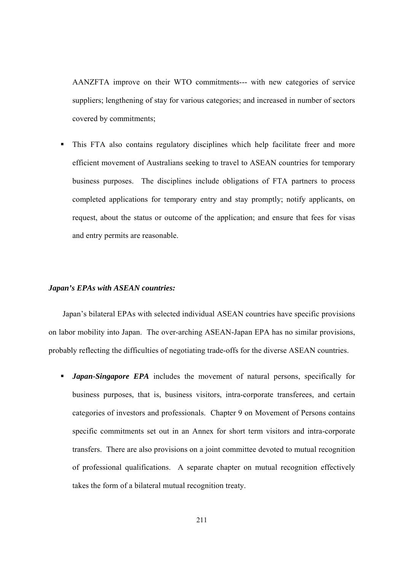AANZFTA improve on their WTO commitments--- with new categories of service suppliers; lengthening of stay for various categories; and increased in number of sectors covered by commitments;

 This FTA also contains regulatory disciplines which help facilitate freer and more efficient movement of Australians seeking to travel to ASEAN countries for temporary business purposes. The disciplines include obligations of FTA partners to process completed applications for temporary entry and stay promptly; notify applicants, on request, about the status or outcome of the application; and ensure that fees for visas and entry permits are reasonable.

#### *Japan's EPAs with ASEAN countries:*

Japan's bilateral EPAs with selected individual ASEAN countries have specific provisions on labor mobility into Japan. The over-arching ASEAN-Japan EPA has no similar provisions, probably reflecting the difficulties of negotiating trade-offs for the diverse ASEAN countries.

**Japan-Singapore EPA** includes the movement of natural persons, specifically for business purposes, that is, business visitors, intra-corporate transferees, and certain categories of investors and professionals. Chapter 9 on Movement of Persons contains specific commitments set out in an Annex for short term visitors and intra-corporate transfers. There are also provisions on a joint committee devoted to mutual recognition of professional qualifications. A separate chapter on mutual recognition effectively takes the form of a bilateral mutual recognition treaty.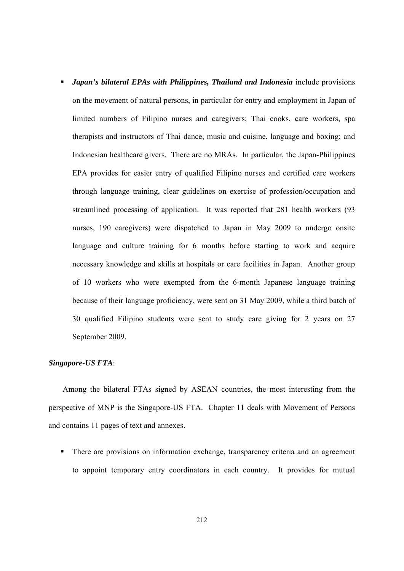**Japan's bilateral EPAs with Philippines, Thailand and Indonesia** include provisions on the movement of natural persons, in particular for entry and employment in Japan of limited numbers of Filipino nurses and caregivers; Thai cooks, care workers, spa therapists and instructors of Thai dance, music and cuisine, language and boxing; and Indonesian healthcare givers. There are no MRAs. In particular, the Japan-Philippines EPA provides for easier entry of qualified Filipino nurses and certified care workers through language training, clear guidelines on exercise of profession/occupation and streamlined processing of application. It was reported that 281 health workers (93 nurses, 190 caregivers) were dispatched to Japan in May 2009 to undergo onsite language and culture training for 6 months before starting to work and acquire necessary knowledge and skills at hospitals or care facilities in Japan. Another group of 10 workers who were exempted from the 6-month Japanese language training because of their language proficiency, were sent on 31 May 2009, while a third batch of 30 qualified Filipino students were sent to study care giving for 2 years on 27 September 2009.

#### *Singapore-US FTA*:

Among the bilateral FTAs signed by ASEAN countries, the most interesting from the perspective of MNP is the Singapore-US FTA. Chapter 11 deals with Movement of Persons and contains 11 pages of text and annexes.

**There are provisions on information exchange, transparency criteria and an agreement** to appoint temporary entry coordinators in each country. It provides for mutual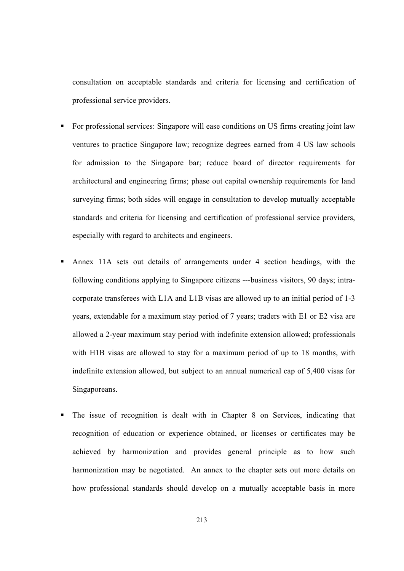consultation on acceptable standards and criteria for licensing and certification of professional service providers.

- For professional services: Singapore will ease conditions on US firms creating joint law ventures to practice Singapore law; recognize degrees earned from 4 US law schools for admission to the Singapore bar; reduce board of director requirements for architectural and engineering firms; phase out capital ownership requirements for land surveying firms; both sides will engage in consultation to develop mutually acceptable standards and criteria for licensing and certification of professional service providers, especially with regard to architects and engineers.
- Annex 11A sets out details of arrangements under 4 section headings, with the following conditions applying to Singapore citizens ---business visitors, 90 days; intracorporate transferees with L1A and L1B visas are allowed up to an initial period of 1-3 years, extendable for a maximum stay period of 7 years; traders with E1 or E2 visa are allowed a 2-year maximum stay period with indefinite extension allowed; professionals with H1B visas are allowed to stay for a maximum period of up to 18 months, with indefinite extension allowed, but subject to an annual numerical cap of 5,400 visas for Singaporeans.
- The issue of recognition is dealt with in Chapter 8 on Services, indicating that recognition of education or experience obtained, or licenses or certificates may be achieved by harmonization and provides general principle as to how such harmonization may be negotiated. An annex to the chapter sets out more details on how professional standards should develop on a mutually acceptable basis in more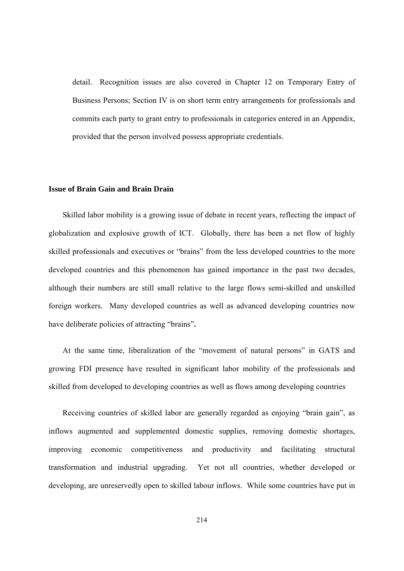detail. Recognition issues are also covered in Chapter 12 on Temporary Entry of Business Persons; Section IV is on short term entry arrangements for professionals and commits each party to grant entry to professionals in categories entered in an Appendix, provided that the person involved possess appropriate credentials.

#### **Issue of Brain Gain and Brain Drain**

Skilled labor mobility is a growing issue of debate in recent years, reflecting the impact of globalization and explosive growth of ICT. Globally, there has been a net flow of highly skilled professionals and executives or "brains" from the less developed countries to the more developed countries and this phenomenon has gained importance in the past two decades, although their numbers are still small relative to the large flows semi-skilled and unskilled foreign workers.Many developed countries as well as advanced developing countries now have deliberate policies of attracting "brains"**.** 

At the same time, liberalization of the "movement of natural persons" in GATS and growing FDI presence have resulted in significant labor mobility of the professionals and skilled from developed to developing countries as well as flows among developing countries

Receiving countries of skilled labor are generally regarded as enjoying "brain gain", as inflows augmented and supplemented domestic supplies, removing domestic shortages, improving economic competitiveness and productivity and facilitating structural transformation and industrial upgrading. Yet not all countries, whether developed or developing, are unreservedly open to skilled labour inflows. While some countries have put in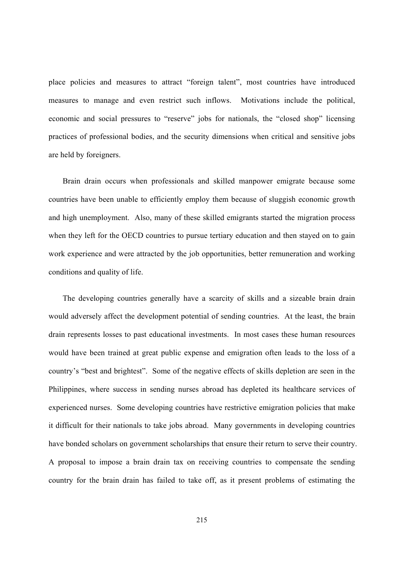place policies and measures to attract "foreign talent", most countries have introduced measures to manage and even restrict such inflows. Motivations include the political, economic and social pressures to "reserve" jobs for nationals, the "closed shop" licensing practices of professional bodies, and the security dimensions when critical and sensitive jobs are held by foreigners.

Brain drain occurs when professionals and skilled manpower emigrate because some countries have been unable to efficiently employ them because of sluggish economic growth and high unemployment. Also, many of these skilled emigrants started the migration process when they left for the OECD countries to pursue tertiary education and then stayed on to gain work experience and were attracted by the job opportunities, better remuneration and working conditions and quality of life.

The developing countries generally have a scarcity of skills and a sizeable brain drain would adversely affect the development potential of sending countries. At the least, the brain drain represents losses to past educational investments. In most cases these human resources would have been trained at great public expense and emigration often leads to the loss of a country's "best and brightest". Some of the negative effects of skills depletion are seen in the Philippines, where success in sending nurses abroad has depleted its healthcare services of experienced nurses. Some developing countries have restrictive emigration policies that make it difficult for their nationals to take jobs abroad. Many governments in developing countries have bonded scholars on government scholarships that ensure their return to serve their country. A proposal to impose a brain drain tax on receiving countries to compensate the sending country for the brain drain has failed to take off, as it present problems of estimating the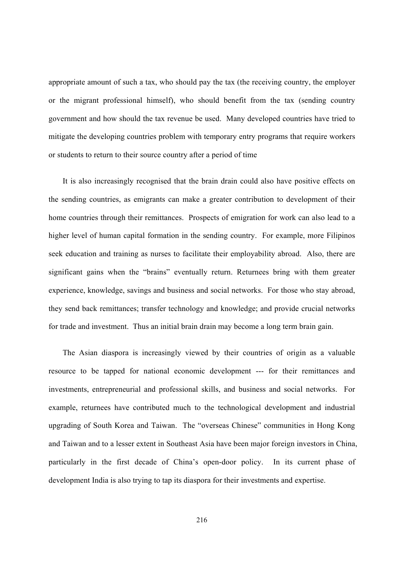appropriate amount of such a tax, who should pay the tax (the receiving country, the employer or the migrant professional himself), who should benefit from the tax (sending country government and how should the tax revenue be used. Many developed countries have tried to mitigate the developing countries problem with temporary entry programs that require workers or students to return to their source country after a period of time

It is also increasingly recognised that the brain drain could also have positive effects on the sending countries, as emigrants can make a greater contribution to development of their home countries through their remittances. Prospects of emigration for work can also lead to a higher level of human capital formation in the sending country. For example, more Filipinos seek education and training as nurses to facilitate their employability abroad. Also, there are significant gains when the "brains" eventually return. Returnees bring with them greater experience, knowledge, savings and business and social networks. For those who stay abroad, they send back remittances; transfer technology and knowledge; and provide crucial networks for trade and investment. Thus an initial brain drain may become a long term brain gain.

The Asian diaspora is increasingly viewed by their countries of origin as a valuable resource to be tapped for national economic development --- for their remittances and investments, entrepreneurial and professional skills, and business and social networks. For example, returnees have contributed much to the technological development and industrial upgrading of South Korea and Taiwan. The "overseas Chinese" communities in Hong Kong and Taiwan and to a lesser extent in Southeast Asia have been major foreign investors in China, particularly in the first decade of China's open-door policy. In its current phase of development India is also trying to tap its diaspora for their investments and expertise.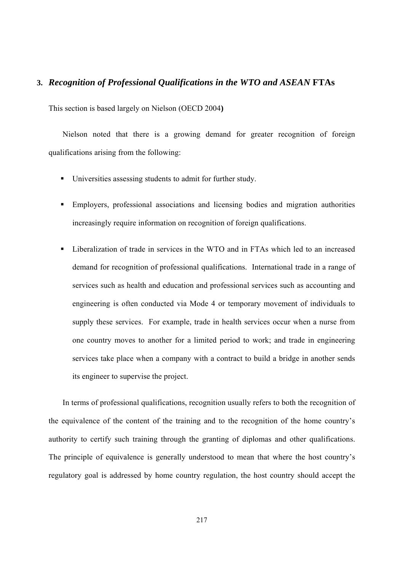#### **3.** *Recognition of Professional Qualifications in the WTO and ASEAN* **FTAs**

This section is based largely on Nielson (OECD 2004**)**

Nielson noted that there is a growing demand for greater recognition of foreign qualifications arising from the following:

- Universities assessing students to admit for further study.
- Employers, professional associations and licensing bodies and migration authorities increasingly require information on recognition of foreign qualifications.
- Liberalization of trade in services in the WTO and in FTAs which led to an increased demand for recognition of professional qualifications. International trade in a range of services such as health and education and professional services such as accounting and engineering is often conducted via Mode 4 or temporary movement of individuals to supply these services. For example, trade in health services occur when a nurse from one country moves to another for a limited period to work; and trade in engineering services take place when a company with a contract to build a bridge in another sends its engineer to supervise the project.

In terms of professional qualifications, recognition usually refers to both the recognition of the equivalence of the content of the training and to the recognition of the home country's authority to certify such training through the granting of diplomas and other qualifications. The principle of equivalence is generally understood to mean that where the host country's regulatory goal is addressed by home country regulation, the host country should accept the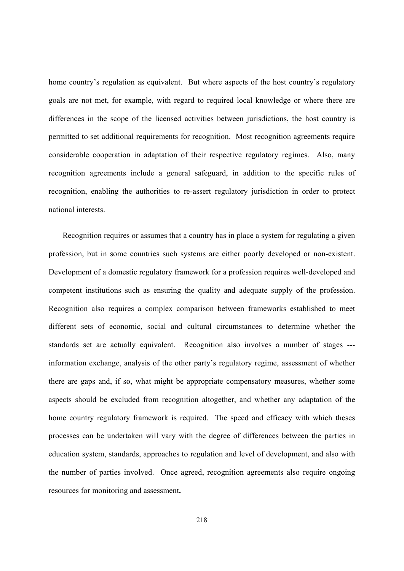home country's regulation as equivalent. But where aspects of the host country's regulatory goals are not met, for example, with regard to required local knowledge or where there are differences in the scope of the licensed activities between jurisdictions, the host country is permitted to set additional requirements for recognition. Most recognition agreements require considerable cooperation in adaptation of their respective regulatory regimes. Also, many recognition agreements include a general safeguard, in addition to the specific rules of recognition, enabling the authorities to re-assert regulatory jurisdiction in order to protect national interests.

Recognition requires or assumes that a country has in place a system for regulating a given profession, but in some countries such systems are either poorly developed or non-existent. Development of a domestic regulatory framework for a profession requires well-developed and competent institutions such as ensuring the quality and adequate supply of the profession. Recognition also requires a complex comparison between frameworks established to meet different sets of economic, social and cultural circumstances to determine whether the standards set are actually equivalent. Recognition also involves a number of stages -- information exchange, analysis of the other party's regulatory regime, assessment of whether there are gaps and, if so, what might be appropriate compensatory measures, whether some aspects should be excluded from recognition altogether, and whether any adaptation of the home country regulatory framework is required. The speed and efficacy with which theses processes can be undertaken will vary with the degree of differences between the parties in education system, standards, approaches to regulation and level of development, and also with the number of parties involved. Once agreed, recognition agreements also require ongoing resources for monitoring and assessment**.**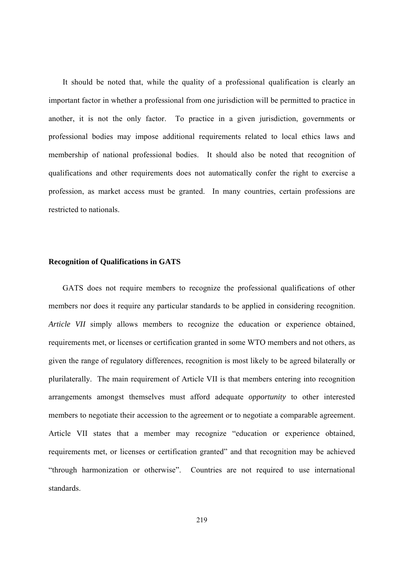It should be noted that, while the quality of a professional qualification is clearly an important factor in whether a professional from one jurisdiction will be permitted to practice in another, it is not the only factor. To practice in a given jurisdiction, governments or professional bodies may impose additional requirements related to local ethics laws and membership of national professional bodies. It should also be noted that recognition of qualifications and other requirements does not automatically confer the right to exercise a profession, as market access must be granted. In many countries, certain professions are restricted to nationals.

#### **Recognition of Qualifications in GATS**

GATS does not require members to recognize the professional qualifications of other members nor does it require any particular standards to be applied in considering recognition. *Article VII* simply allows members to recognize the education or experience obtained, requirements met, or licenses or certification granted in some WTO members and not others, as given the range of regulatory differences, recognition is most likely to be agreed bilaterally or plurilaterally. The main requirement of Article VII is that members entering into recognition arrangements amongst themselves must afford adequate *opportunity* to other interested members to negotiate their accession to the agreement or to negotiate a comparable agreement. Article VII states that a member may recognize "education or experience obtained, requirements met, or licenses or certification granted" and that recognition may be achieved "through harmonization or otherwise". Countries are not required to use international standards.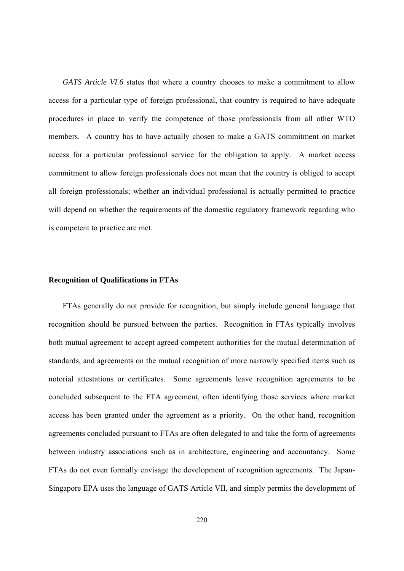*GATS Article VI.6* states that where a country chooses to make a commitment to allow access for a particular type of foreign professional, that country is required to have adequate procedures in place to verify the competence of those professionals from all other WTO members. A country has to have actually chosen to make a GATS commitment on market access for a particular professional service for the obligation to apply. A market access commitment to allow foreign professionals does not mean that the country is obliged to accept all foreign professionals; whether an individual professional is actually permitted to practice will depend on whether the requirements of the domestic regulatory framework regarding who is competent to practice are met.

#### **Recognition of Qualifications in FTAs**

FTAs generally do not provide for recognition, but simply include general language that recognition should be pursued between the parties. Recognition in FTAs typically involves both mutual agreement to accept agreed competent authorities for the mutual determination of standards, and agreements on the mutual recognition of more narrowly specified items such as notorial attestations or certificates. Some agreements leave recognition agreements to be concluded subsequent to the FTA agreement, often identifying those services where market access has been granted under the agreement as a priority. On the other hand, recognition agreements concluded pursuant to FTAs are often delegated to and take the form of agreements between industry associations such as in architecture, engineering and accountancy. Some FTAs do not even formally envisage the development of recognition agreements. The Japan-Singapore EPA uses the language of GATS Article VII, and simply permits the development of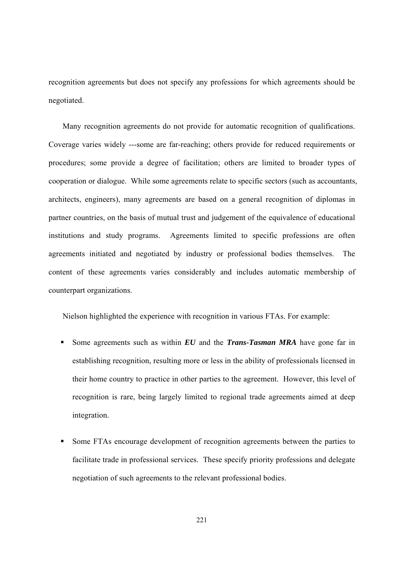recognition agreements but does not specify any professions for which agreements should be negotiated.

Many recognition agreements do not provide for automatic recognition of qualifications. Coverage varies widely ---some are far-reaching; others provide for reduced requirements or procedures; some provide a degree of facilitation; others are limited to broader types of cooperation or dialogue. While some agreements relate to specific sectors (such as accountants, architects, engineers), many agreements are based on a general recognition of diplomas in partner countries, on the basis of mutual trust and judgement of the equivalence of educational institutions and study programs. Agreements limited to specific professions are often agreements initiated and negotiated by industry or professional bodies themselves. The content of these agreements varies considerably and includes automatic membership of counterpart organizations.

Nielson highlighted the experience with recognition in various FTAs. For example:

- Some agreements such as within *EU* and the *Trans-Tasman MRA* have gone far in establishing recognition, resulting more or less in the ability of professionals licensed in their home country to practice in other parties to the agreement. However, this level of recognition is rare, being largely limited to regional trade agreements aimed at deep integration.
- Some FTAs encourage development of recognition agreements between the parties to facilitate trade in professional services. These specify priority professions and delegate negotiation of such agreements to the relevant professional bodies.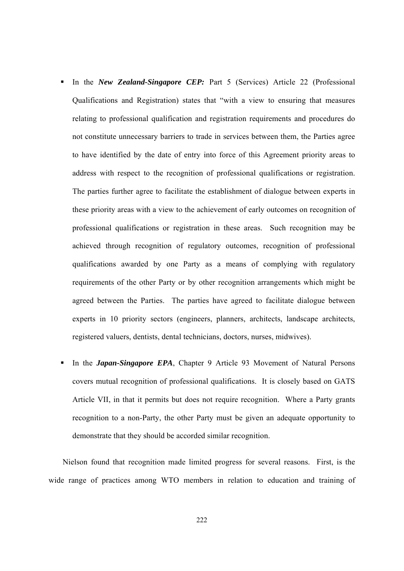- In the *New Zealand-Singapore CEP*: Part 5 (Services) Article 22 (Professional Qualifications and Registration) states that "with a view to ensuring that measures relating to professional qualification and registration requirements and procedures do not constitute unnecessary barriers to trade in services between them, the Parties agree to have identified by the date of entry into force of this Agreement priority areas to address with respect to the recognition of professional qualifications or registration. The parties further agree to facilitate the establishment of dialogue between experts in these priority areas with a view to the achievement of early outcomes on recognition of professional qualifications or registration in these areas. Such recognition may be achieved through recognition of regulatory outcomes, recognition of professional qualifications awarded by one Party as a means of complying with regulatory requirements of the other Party or by other recognition arrangements which might be agreed between the Parties. The parties have agreed to facilitate dialogue between experts in 10 priority sectors (engineers, planners, architects, landscape architects, registered valuers, dentists, dental technicians, doctors, nurses, midwives).
- In the *Japan-Singapore EPA*, Chapter 9 Article 93 Movement of Natural Persons covers mutual recognition of professional qualifications. It is closely based on GATS Article VII, in that it permits but does not require recognition. Where a Party grants recognition to a non-Party, the other Party must be given an adequate opportunity to demonstrate that they should be accorded similar recognition.

Nielson found that recognition made limited progress for several reasons. First, is the wide range of practices among WTO members in relation to education and training of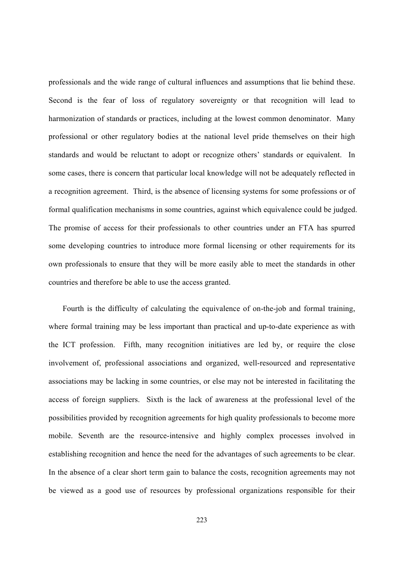professionals and the wide range of cultural influences and assumptions that lie behind these. Second is the fear of loss of regulatory sovereignty or that recognition will lead to harmonization of standards or practices, including at the lowest common denominator. Many professional or other regulatory bodies at the national level pride themselves on their high standards and would be reluctant to adopt or recognize others' standards or equivalent. In some cases, there is concern that particular local knowledge will not be adequately reflected in a recognition agreement. Third, is the absence of licensing systems for some professions or of formal qualification mechanisms in some countries, against which equivalence could be judged. The promise of access for their professionals to other countries under an FTA has spurred some developing countries to introduce more formal licensing or other requirements for its own professionals to ensure that they will be more easily able to meet the standards in other countries and therefore be able to use the access granted.

Fourth is the difficulty of calculating the equivalence of on-the-job and formal training, where formal training may be less important than practical and up-to-date experience as with the ICT profession. Fifth, many recognition initiatives are led by, or require the close involvement of, professional associations and organized, well-resourced and representative associations may be lacking in some countries, or else may not be interested in facilitating the access of foreign suppliers. Sixth is the lack of awareness at the professional level of the possibilities provided by recognition agreements for high quality professionals to become more mobile. Seventh are the resource-intensive and highly complex processes involved in establishing recognition and hence the need for the advantages of such agreements to be clear. In the absence of a clear short term gain to balance the costs, recognition agreements may not be viewed as a good use of resources by professional organizations responsible for their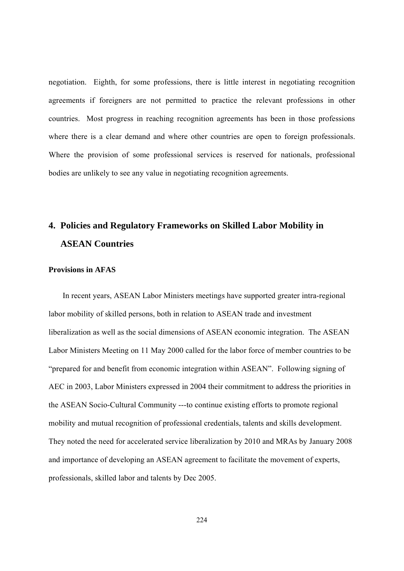negotiation. Eighth, for some professions, there is little interest in negotiating recognition agreements if foreigners are not permitted to practice the relevant professions in other countries. Most progress in reaching recognition agreements has been in those professions where there is a clear demand and where other countries are open to foreign professionals. Where the provision of some professional services is reserved for nationals, professional bodies are unlikely to see any value in negotiating recognition agreements.

## **4. Policies and Regulatory Frameworks on Skilled Labor Mobility in ASEAN Countries**

#### **Provisions in AFAS**

In recent years, ASEAN Labor Ministers meetings have supported greater intra-regional labor mobility of skilled persons, both in relation to ASEAN trade and investment liberalization as well as the social dimensions of ASEAN economic integration. The ASEAN Labor Ministers Meeting on 11 May 2000 called for the labor force of member countries to be "prepared for and benefit from economic integration within ASEAN". Following signing of AEC in 2003, Labor Ministers expressed in 2004 their commitment to address the priorities in the ASEAN Socio-Cultural Community ---to continue existing efforts to promote regional mobility and mutual recognition of professional credentials, talents and skills development. They noted the need for accelerated service liberalization by 2010 and MRAs by January 2008 and importance of developing an ASEAN agreement to facilitate the movement of experts, professionals, skilled labor and talents by Dec 2005.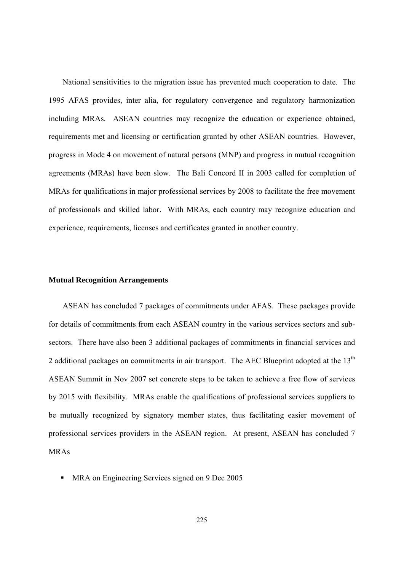National sensitivities to the migration issue has prevented much cooperation to date. The 1995 AFAS provides, inter alia, for regulatory convergence and regulatory harmonization including MRAs. ASEAN countries may recognize the education or experience obtained, requirements met and licensing or certification granted by other ASEAN countries. However, progress in Mode 4 on movement of natural persons (MNP) and progress in mutual recognition agreements (MRAs) have been slow. The Bali Concord II in 2003 called for completion of MRAs for qualifications in major professional services by 2008 to facilitate the free movement of professionals and skilled labor. With MRAs, each country may recognize education and experience, requirements, licenses and certificates granted in another country.

#### **Mutual Recognition Arrangements**

ASEAN has concluded 7 packages of commitments under AFAS. These packages provide for details of commitments from each ASEAN country in the various services sectors and subsectors. There have also been 3 additional packages of commitments in financial services and 2 additional packages on commitments in air transport. The AEC Blueprint adopted at the  $13<sup>th</sup>$ ASEAN Summit in Nov 2007 set concrete steps to be taken to achieve a free flow of services by 2015 with flexibility. MRAs enable the qualifications of professional services suppliers to be mutually recognized by signatory member states, thus facilitating easier movement of professional services providers in the ASEAN region. At present, ASEAN has concluded 7 MRAs

• MRA on Engineering Services signed on 9 Dec 2005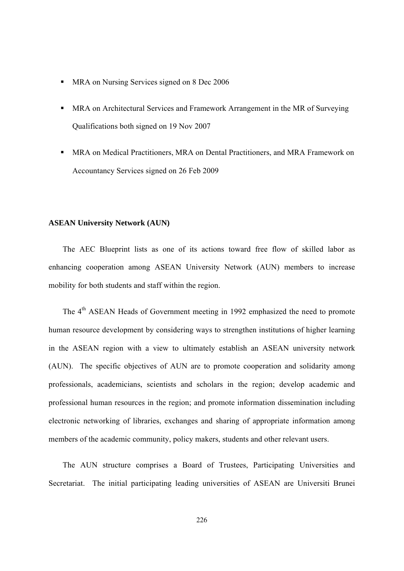- MRA on Nursing Services signed on 8 Dec 2006
- MRA on Architectural Services and Framework Arrangement in the MR of Surveying Qualifications both signed on 19 Nov 2007
- MRA on Medical Practitioners, MRA on Dental Practitioners, and MRA Framework on Accountancy Services signed on 26 Feb 2009

#### **ASEAN University Network (AUN)**

The AEC Blueprint lists as one of its actions toward free flow of skilled labor as enhancing cooperation among ASEAN University Network (AUN) members to increase mobility for both students and staff within the region.

The 4<sup>th</sup> ASEAN Heads of Government meeting in 1992 emphasized the need to promote human resource development by considering ways to strengthen institutions of higher learning in the ASEAN region with a view to ultimately establish an ASEAN university network (AUN). The specific objectives of AUN are to promote cooperation and solidarity among professionals, academicians, scientists and scholars in the region; develop academic and professional human resources in the region; and promote information dissemination including electronic networking of libraries, exchanges and sharing of appropriate information among members of the academic community, policy makers, students and other relevant users.

The AUN structure comprises a Board of Trustees, Participating Universities and Secretariat. The initial participating leading universities of ASEAN are Universiti Brunei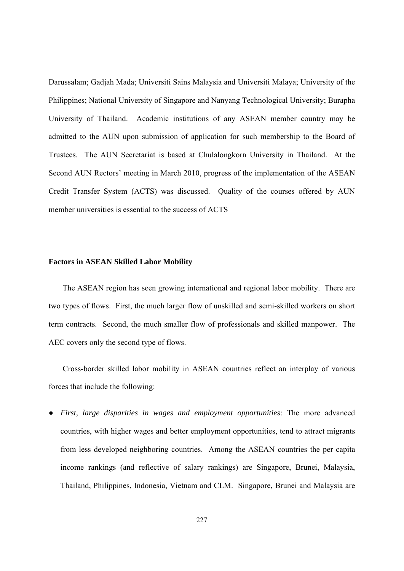Darussalam; Gadjah Mada; Universiti Sains Malaysia and Universiti Malaya; University of the Philippines; National University of Singapore and Nanyang Technological University; Burapha University of Thailand. Academic institutions of any ASEAN member country may be admitted to the AUN upon submission of application for such membership to the Board of Trustees. The AUN Secretariat is based at Chulalongkorn University in Thailand. At the Second AUN Rectors' meeting in March 2010, progress of the implementation of the ASEAN Credit Transfer System (ACTS) was discussed. Quality of the courses offered by AUN member universities is essential to the success of ACTS

#### **Factors in ASEAN Skilled Labor Mobility**

The ASEAN region has seen growing international and regional labor mobility. There are two types of flows. First, the much larger flow of unskilled and semi-skilled workers on short term contracts. Second, the much smaller flow of professionals and skilled manpower. The AEC covers only the second type of flows.

Cross-border skilled labor mobility in ASEAN countries reflect an interplay of various forces that include the following:

● *First, large disparities in wages and employment opportunities*: The more advanced countries, with higher wages and better employment opportunities, tend to attract migrants from less developed neighboring countries. Among the ASEAN countries the per capita income rankings (and reflective of salary rankings) are Singapore, Brunei, Malaysia, Thailand, Philippines, Indonesia, Vietnam and CLM. Singapore, Brunei and Malaysia are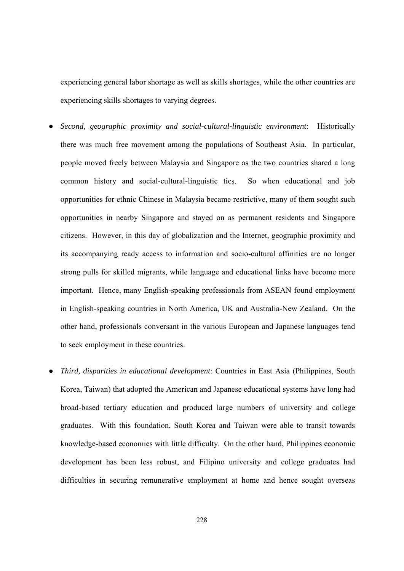experiencing general labor shortage as well as skills shortages, while the other countries are experiencing skills shortages to varying degrees.

- *Second, geographic proximity and social-cultural-linguistic environment*: Historically there was much free movement among the populations of Southeast Asia. In particular, people moved freely between Malaysia and Singapore as the two countries shared a long common history and social-cultural-linguistic ties. So when educational and job opportunities for ethnic Chinese in Malaysia became restrictive, many of them sought such opportunities in nearby Singapore and stayed on as permanent residents and Singapore citizens. However, in this day of globalization and the Internet, geographic proximity and its accompanying ready access to information and socio-cultural affinities are no longer strong pulls for skilled migrants, while language and educational links have become more important. Hence, many English-speaking professionals from ASEAN found employment in English-speaking countries in North America, UK and Australia-New Zealand. On the other hand, professionals conversant in the various European and Japanese languages tend to seek employment in these countries.
- *Third, disparities in educational development*: Countries in East Asia (Philippines, South Korea, Taiwan) that adopted the American and Japanese educational systems have long had broad-based tertiary education and produced large numbers of university and college graduates. With this foundation, South Korea and Taiwan were able to transit towards knowledge-based economies with little difficulty. On the other hand, Philippines economic development has been less robust, and Filipino university and college graduates had difficulties in securing remunerative employment at home and hence sought overseas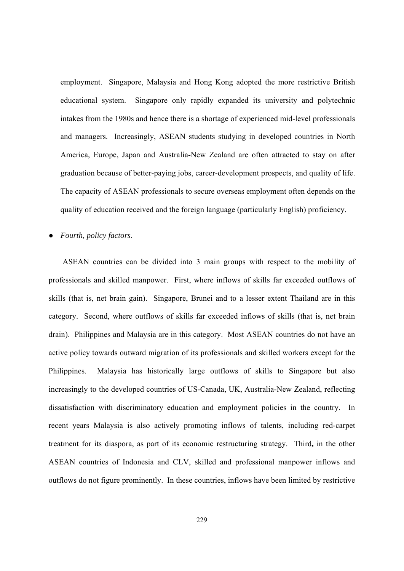employment. Singapore, Malaysia and Hong Kong adopted the more restrictive British educational system. Singapore only rapidly expanded its university and polytechnic intakes from the 1980s and hence there is a shortage of experienced mid-level professionals and managers. Increasingly, ASEAN students studying in developed countries in North America, Europe, Japan and Australia-New Zealand are often attracted to stay on after graduation because of better-paying jobs, career-development prospects, and quality of life. The capacity of ASEAN professionals to secure overseas employment often depends on the quality of education received and the foreign language (particularly English) proficiency.

#### ● *Fourth, policy factors*.

ASEAN countries can be divided into 3 main groups with respect to the mobility of professionals and skilled manpower. First, where inflows of skills far exceeded outflows of skills (that is, net brain gain). Singapore, Brunei and to a lesser extent Thailand are in this category. Second, where outflows of skills far exceeded inflows of skills (that is, net brain drain). Philippines and Malaysia are in this category. Most ASEAN countries do not have an active policy towards outward migration of its professionals and skilled workers except for the Philippines. Malaysia has historically large outflows of skills to Singapore but also increasingly to the developed countries of US-Canada, UK, Australia-New Zealand, reflecting dissatisfaction with discriminatory education and employment policies in the country. In recent years Malaysia is also actively promoting inflows of talents, including red-carpet treatment for its diaspora, as part of its economic restructuring strategy. Third**,** in the other ASEAN countries of Indonesia and CLV, skilled and professional manpower inflows and outflows do not figure prominently. In these countries, inflows have been limited by restrictive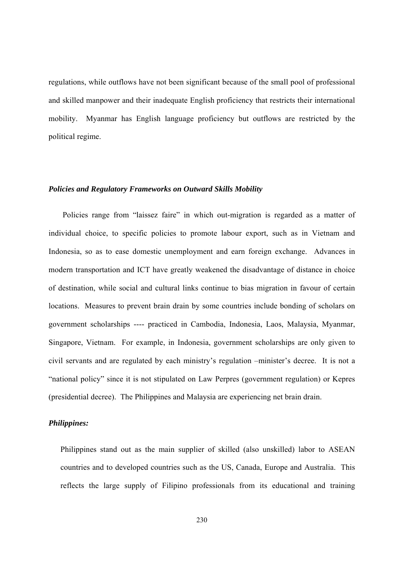regulations, while outflows have not been significant because of the small pool of professional and skilled manpower and their inadequate English proficiency that restricts their international mobility. Myanmar has English language proficiency but outflows are restricted by the political regime.

#### *Policies and Regulatory Frameworks on Outward Skills Mobility*

Policies range from "laissez faire" in which out-migration is regarded as a matter of individual choice, to specific policies to promote labour export, such as in Vietnam and Indonesia, so as to ease domestic unemployment and earn foreign exchange. Advances in modern transportation and ICT have greatly weakened the disadvantage of distance in choice of destination, while social and cultural links continue to bias migration in favour of certain locations. Measures to prevent brain drain by some countries include bonding of scholars on government scholarships ---- practiced in Cambodia, Indonesia, Laos, Malaysia, Myanmar, Singapore, Vietnam. For example, in Indonesia, government scholarships are only given to civil servants and are regulated by each ministry's regulation –minister's decree. It is not a "national policy" since it is not stipulated on Law Perpres (government regulation) or Kepres (presidential decree). The Philippines and Malaysia are experiencing net brain drain.

#### *Philippines:*

Philippines stand out as the main supplier of skilled (also unskilled) labor to ASEAN countries and to developed countries such as the US, Canada, Europe and Australia. This reflects the large supply of Filipino professionals from its educational and training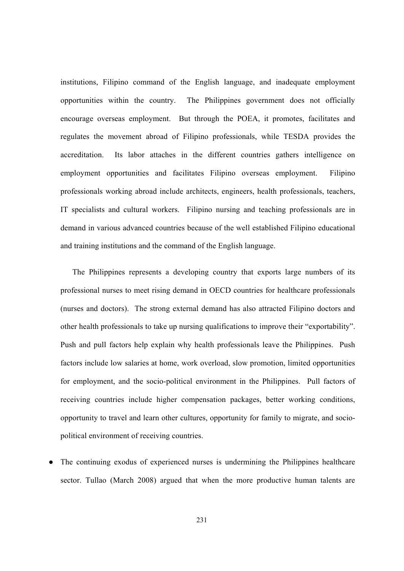institutions, Filipino command of the English language, and inadequate employment opportunities within the country. The Philippines government does not officially encourage overseas employment. But through the POEA, it promotes, facilitates and regulates the movement abroad of Filipino professionals, while TESDA provides the accreditation. Its labor attaches in the different countries gathers intelligence on employment opportunities and facilitates Filipino overseas employment. Filipino professionals working abroad include architects, engineers, health professionals, teachers, IT specialists and cultural workers. Filipino nursing and teaching professionals are in demand in various advanced countries because of the well established Filipino educational and training institutions and the command of the English language.

The Philippines represents a developing country that exports large numbers of its professional nurses to meet rising demand in OECD countries for healthcare professionals (nurses and doctors). The strong external demand has also attracted Filipino doctors and other health professionals to take up nursing qualifications to improve their "exportability". Push and pull factors help explain why health professionals leave the Philippines. Push factors include low salaries at home, work overload, slow promotion, limited opportunities for employment, and the socio-political environment in the Philippines. Pull factors of receiving countries include higher compensation packages, better working conditions, opportunity to travel and learn other cultures, opportunity for family to migrate, and sociopolitical environment of receiving countries.

The continuing exodus of experienced nurses is undermining the Philippines healthcare sector. Tullao (March 2008) argued that when the more productive human talents are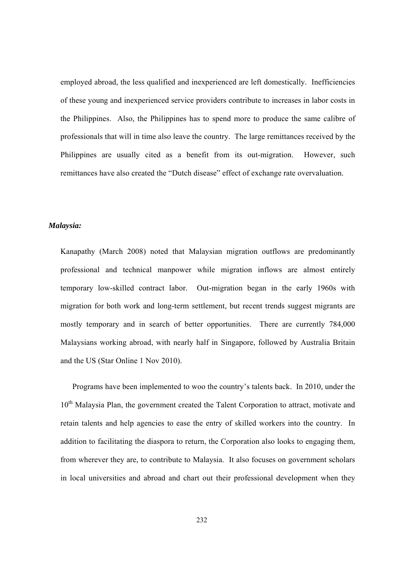employed abroad, the less qualified and inexperienced are left domestically. Inefficiencies of these young and inexperienced service providers contribute to increases in labor costs in the Philippines. Also, the Philippines has to spend more to produce the same calibre of professionals that will in time also leave the country. The large remittances received by the Philippines are usually cited as a benefit from its out-migration. However, such remittances have also created the "Dutch disease" effect of exchange rate overvaluation.

#### *Malaysia:*

Kanapathy (March 2008) noted that Malaysian migration outflows are predominantly professional and technical manpower while migration inflows are almost entirely temporary low-skilled contract labor. Out-migration began in the early 1960s with migration for both work and long-term settlement, but recent trends suggest migrants are mostly temporary and in search of better opportunities. There are currently 784,000 Malaysians working abroad, with nearly half in Singapore, followed by Australia Britain and the US (Star Online 1 Nov 2010).

Programs have been implemented to woo the country's talents back. In 2010, under the 10<sup>th</sup> Malaysia Plan, the government created the Talent Corporation to attract, motivate and retain talents and help agencies to ease the entry of skilled workers into the country. In addition to facilitating the diaspora to return, the Corporation also looks to engaging them, from wherever they are, to contribute to Malaysia. It also focuses on government scholars in local universities and abroad and chart out their professional development when they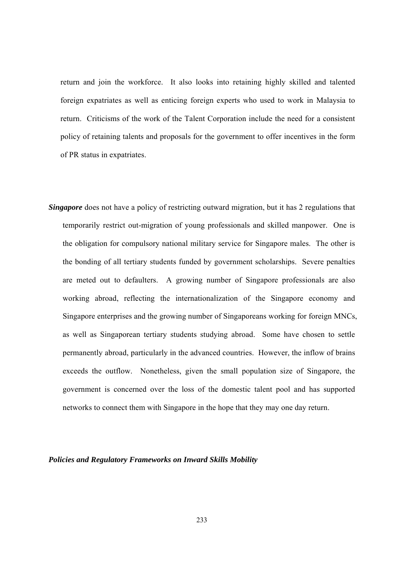return and join the workforce. It also looks into retaining highly skilled and talented foreign expatriates as well as enticing foreign experts who used to work in Malaysia to return. Criticisms of the work of the Talent Corporation include the need for a consistent policy of retaining talents and proposals for the government to offer incentives in the form of PR status in expatriates.

*Singapore* does not have a policy of restricting outward migration, but it has 2 regulations that temporarily restrict out-migration of young professionals and skilled manpower. One is the obligation for compulsory national military service for Singapore males. The other is the bonding of all tertiary students funded by government scholarships. Severe penalties are meted out to defaulters. A growing number of Singapore professionals are also working abroad, reflecting the internationalization of the Singapore economy and Singapore enterprises and the growing number of Singaporeans working for foreign MNCs, as well as Singaporean tertiary students studying abroad. Some have chosen to settle permanently abroad, particularly in the advanced countries. However, the inflow of brains exceeds the outflow. Nonetheless, given the small population size of Singapore, the government is concerned over the loss of the domestic talent pool and has supported networks to connect them with Singapore in the hope that they may one day return.

#### *Policies and Regulatory Frameworks on Inward Skills Mobility*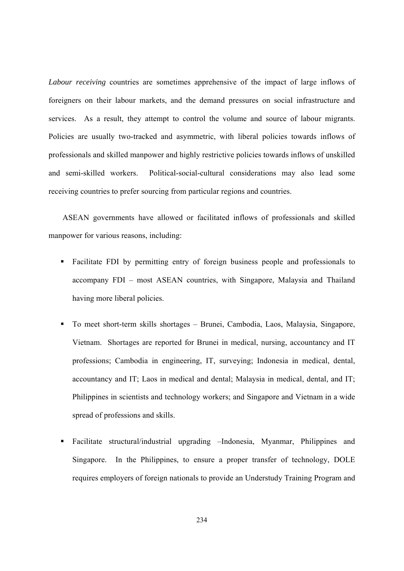*Labour receiving* countries are sometimes apprehensive of the impact of large inflows of foreigners on their labour markets, and the demand pressures on social infrastructure and services. As a result, they attempt to control the volume and source of labour migrants. Policies are usually two-tracked and asymmetric, with liberal policies towards inflows of professionals and skilled manpower and highly restrictive policies towards inflows of unskilled and semi-skilled workers. Political-social-cultural considerations may also lead some receiving countries to prefer sourcing from particular regions and countries.

ASEAN governments have allowed or facilitated inflows of professionals and skilled manpower for various reasons, including:

- Facilitate FDI by permitting entry of foreign business people and professionals to accompany FDI – most ASEAN countries, with Singapore, Malaysia and Thailand having more liberal policies.
- To meet short-term skills shortages Brunei, Cambodia, Laos, Malaysia, Singapore, Vietnam. Shortages are reported for Brunei in medical, nursing, accountancy and IT professions; Cambodia in engineering, IT, surveying; Indonesia in medical, dental, accountancy and IT; Laos in medical and dental; Malaysia in medical, dental, and IT; Philippines in scientists and technology workers; and Singapore and Vietnam in a wide spread of professions and skills.
- Facilitate structural/industrial upgrading –Indonesia, Myanmar, Philippines and Singapore. In the Philippines, to ensure a proper transfer of technology, DOLE requires employers of foreign nationals to provide an Understudy Training Program and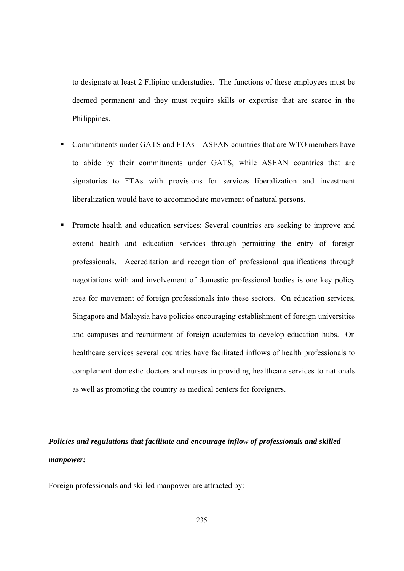to designate at least 2 Filipino understudies. The functions of these employees must be deemed permanent and they must require skills or expertise that are scarce in the Philippines.

- Commitments under GATS and FTAs ASEAN countries that are WTO members have to abide by their commitments under GATS, while ASEAN countries that are signatories to FTAs with provisions for services liberalization and investment liberalization would have to accommodate movement of natural persons.
- **Promote health and education services: Several countries are seeking to improve and** extend health and education services through permitting the entry of foreign professionals. Accreditation and recognition of professional qualifications through negotiations with and involvement of domestic professional bodies is one key policy area for movement of foreign professionals into these sectors. On education services, Singapore and Malaysia have policies encouraging establishment of foreign universities and campuses and recruitment of foreign academics to develop education hubs. On healthcare services several countries have facilitated inflows of health professionals to complement domestic doctors and nurses in providing healthcare services to nationals as well as promoting the country as medical centers for foreigners.

### *Policies and regulations that facilitate and encourage inflow of professionals and skilled manpower:*

Foreign professionals and skilled manpower are attracted by: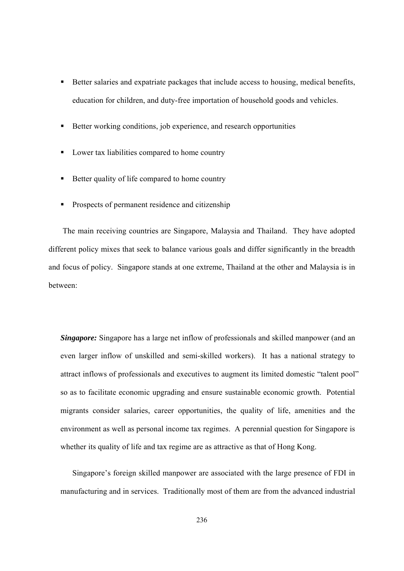- Better salaries and expatriate packages that include access to housing, medical benefits, education for children, and duty-free importation of household goods and vehicles.
- Better working conditions, job experience, and research opportunities
- Lower tax liabilities compared to home country
- Better quality of life compared to home country
- **Prospects of permanent residence and citizenship**

The main receiving countries are Singapore, Malaysia and Thailand. They have adopted different policy mixes that seek to balance various goals and differ significantly in the breadth and focus of policy. Singapore stands at one extreme, Thailand at the other and Malaysia is in between:

*Singapore:* Singapore has a large net inflow of professionals and skilled manpower (and an even larger inflow of unskilled and semi-skilled workers). It has a national strategy to attract inflows of professionals and executives to augment its limited domestic "talent pool" so as to facilitate economic upgrading and ensure sustainable economic growth. Potential migrants consider salaries, career opportunities, the quality of life, amenities and the environment as well as personal income tax regimes. A perennial question for Singapore is whether its quality of life and tax regime are as attractive as that of Hong Kong.

Singapore's foreign skilled manpower are associated with the large presence of FDI in manufacturing and in services. Traditionally most of them are from the advanced industrial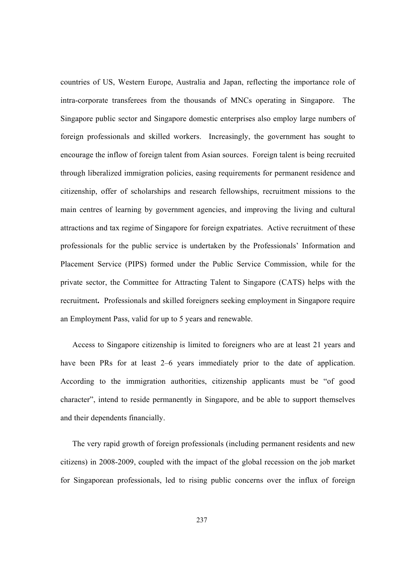countries of US, Western Europe, Australia and Japan, reflecting the importance role of intra-corporate transferees from the thousands of MNCs operating in Singapore. The Singapore public sector and Singapore domestic enterprises also employ large numbers of foreign professionals and skilled workers. Increasingly, the government has sought to encourage the inflow of foreign talent from Asian sources. Foreign talent is being recruited through liberalized immigration policies, easing requirements for permanent residence and citizenship, offer of scholarships and research fellowships, recruitment missions to the main centres of learning by government agencies, and improving the living and cultural attractions and tax regime of Singapore for foreign expatriates. Active recruitment of these professionals for the public service is undertaken by the Professionals' Information and Placement Service (PIPS) formed under the Public Service Commission, while for the private sector, the Committee for Attracting Talent to Singapore (CATS) helps with the recruitment**.** Professionals and skilled foreigners seeking employment in Singapore require an Employment Pass, valid for up to 5 years and renewable.

Access to Singapore citizenship is limited to foreigners who are at least 21 years and have been PRs for at least 2–6 years immediately prior to the date of application. According to the immigration authorities, citizenship applicants must be "of good character", intend to reside permanently in Singapore, and be able to support themselves and their dependents financially.

 The very rapid growth of foreign professionals (including permanent residents and new citizens) in 2008-2009, coupled with the impact of the global recession on the job market for Singaporean professionals, led to rising public concerns over the influx of foreign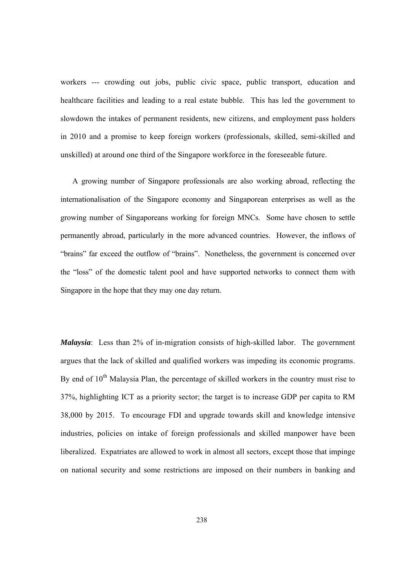workers --- crowding out jobs, public civic space, public transport, education and healthcare facilities and leading to a real estate bubble. This has led the government to slowdown the intakes of permanent residents, new citizens, and employment pass holders in 2010 and a promise to keep foreign workers (professionals, skilled, semi-skilled and unskilled) at around one third of the Singapore workforce in the foreseeable future.

A growing number of Singapore professionals are also working abroad, reflecting the internationalisation of the Singapore economy and Singaporean enterprises as well as the growing number of Singaporeans working for foreign MNCs. Some have chosen to settle permanently abroad, particularly in the more advanced countries. However, the inflows of "brains" far exceed the outflow of "brains". Nonetheless, the government is concerned over the "loss" of the domestic talent pool and have supported networks to connect them with Singapore in the hope that they may one day return.

*Malaysia*: Less than 2% of in-migration consists of high-skilled labor. The government argues that the lack of skilled and qualified workers was impeding its economic programs. By end of  $10<sup>th</sup>$  Malaysia Plan, the percentage of skilled workers in the country must rise to 37%, highlighting ICT as a priority sector; the target is to increase GDP per capita to RM 38,000 by 2015. To encourage FDI and upgrade towards skill and knowledge intensive industries, policies on intake of foreign professionals and skilled manpower have been liberalized. Expatriates are allowed to work in almost all sectors, except those that impinge on national security and some restrictions are imposed on their numbers in banking and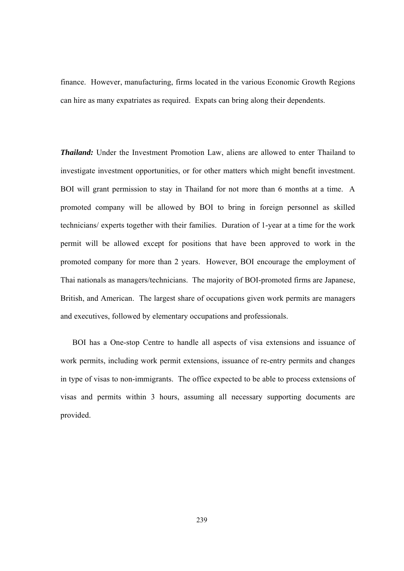finance. However, manufacturing, firms located in the various Economic Growth Regions can hire as many expatriates as required. Expats can bring along their dependents.

*Thailand:* Under the Investment Promotion Law, aliens are allowed to enter Thailand to investigate investment opportunities, or for other matters which might benefit investment. BOI will grant permission to stay in Thailand for not more than 6 months at a time. A promoted company will be allowed by BOI to bring in foreign personnel as skilled technicians/ experts together with their families. Duration of 1-year at a time for the work permit will be allowed except for positions that have been approved to work in the promoted company for more than 2 years. However, BOI encourage the employment of Thai nationals as managers/technicians. The majority of BOI-promoted firms are Japanese, British, and American. The largest share of occupations given work permits are managers and executives, followed by elementary occupations and professionals.

BOI has a One-stop Centre to handle all aspects of visa extensions and issuance of work permits, including work permit extensions, issuance of re-entry permits and changes in type of visas to non-immigrants. The office expected to be able to process extensions of visas and permits within 3 hours, assuming all necessary supporting documents are provided.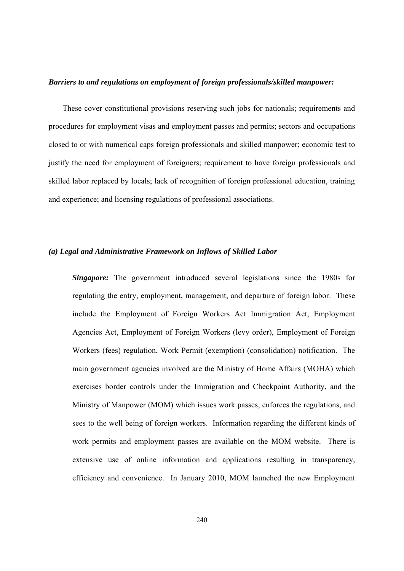### *Barriers to and regulations on employment of foreign professionals/skilled manpower***:**

These cover constitutional provisions reserving such jobs for nationals; requirements and procedures for employment visas and employment passes and permits; sectors and occupations closed to or with numerical caps foreign professionals and skilled manpower; economic test to justify the need for employment of foreigners; requirement to have foreign professionals and skilled labor replaced by locals; lack of recognition of foreign professional education, training and experience; and licensing regulations of professional associations.

### *(a) Legal and Administrative Framework on Inflows of Skilled Labor*

*Singapore:* The government introduced several legislations since the 1980s for regulating the entry, employment, management, and departure of foreign labor. These include the Employment of Foreign Workers Act Immigration Act, Employment Agencies Act, Employment of Foreign Workers (levy order), Employment of Foreign Workers (fees) regulation, Work Permit (exemption) (consolidation) notification. The main government agencies involved are the Ministry of Home Affairs (MOHA) which exercises border controls under the Immigration and Checkpoint Authority, and the Ministry of Manpower (MOM) which issues work passes, enforces the regulations, and sees to the well being of foreign workers. Information regarding the different kinds of work permits and employment passes are available on the MOM website. There is extensive use of online information and applications resulting in transparency, efficiency and convenience. In January 2010, MOM launched the new Employment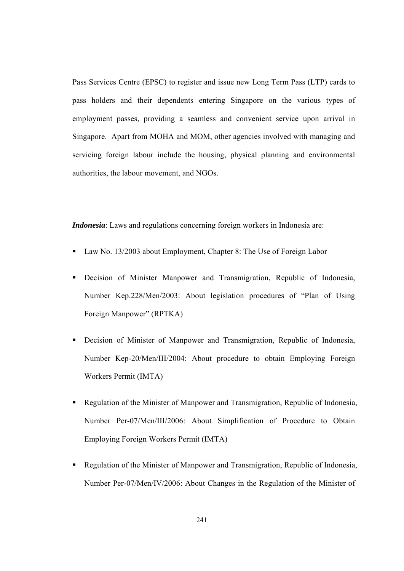Pass Services Centre (EPSC) to register and issue new Long Term Pass (LTP) cards to pass holders and their dependents entering Singapore on the various types of employment passes, providing a seamless and convenient service upon arrival in Singapore. Apart from MOHA and MOM, other agencies involved with managing and servicing foreign labour include the housing, physical planning and environmental authorities, the labour movement, and NGOs.

*Indonesia*: Laws and regulations concerning foreign workers in Indonesia are:

- Law No. 13/2003 about Employment, Chapter 8: The Use of Foreign Labor
- Decision of Minister Manpower and Transmigration, Republic of Indonesia, Number Kep.228/Men/2003: About legislation procedures of "Plan of Using Foreign Manpower" (RPTKA)
- Decision of Minister of Manpower and Transmigration, Republic of Indonesia, Number Kep-20/Men/III/2004: About procedure to obtain Employing Foreign Workers Permit (IMTA)
- Regulation of the Minister of Manpower and Transmigration, Republic of Indonesia, Number Per-07/Men/III/2006: About Simplification of Procedure to Obtain Employing Foreign Workers Permit (IMTA)
- Regulation of the Minister of Manpower and Transmigration, Republic of Indonesia, Number Per-07/Men/IV/2006: About Changes in the Regulation of the Minister of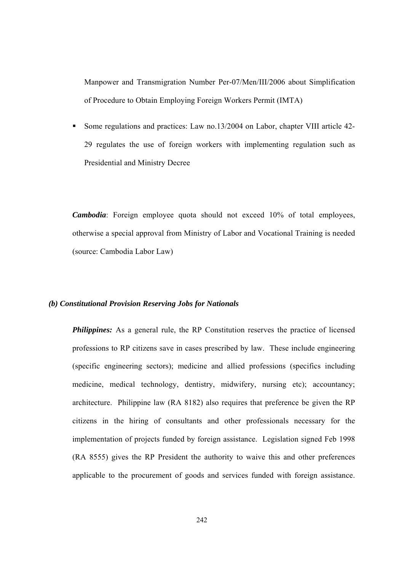Manpower and Transmigration Number Per-07/Men/III/2006 about Simplification of Procedure to Obtain Employing Foreign Workers Permit (IMTA)

Some regulations and practices: Law no.13/2004 on Labor, chapter VIII article 42-29 regulates the use of foreign workers with implementing regulation such as Presidential and Ministry Decree

*Cambodia*: Foreign employee quota should not exceed 10% of total employees, otherwise a special approval from Ministry of Labor and Vocational Training is needed (source: Cambodia Labor Law)

### *(b) Constitutional Provision Reserving Jobs for Nationals*

**Philippines:** As a general rule, the RP Constitution reserves the practice of licensed professions to RP citizens save in cases prescribed by law. These include engineering (specific engineering sectors); medicine and allied professions (specifics including medicine, medical technology, dentistry, midwifery, nursing etc); accountancy; architecture. Philippine law (RA 8182) also requires that preference be given the RP citizens in the hiring of consultants and other professionals necessary for the implementation of projects funded by foreign assistance. Legislation signed Feb 1998 (RA 8555) gives the RP President the authority to waive this and other preferences applicable to the procurement of goods and services funded with foreign assistance.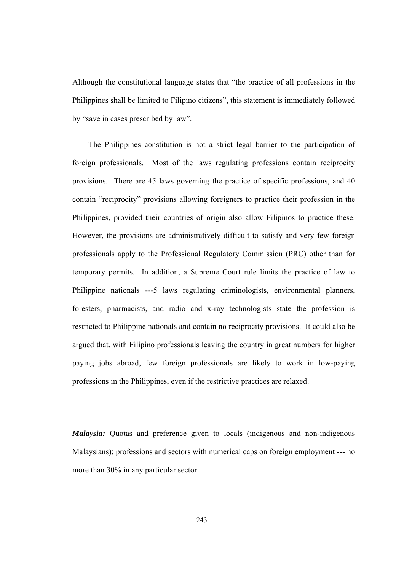Although the constitutional language states that "the practice of all professions in the Philippines shall be limited to Filipino citizens", this statement is immediately followed by "save in cases prescribed by law".

 The Philippines constitution is not a strict legal barrier to the participation of foreign professionals. Most of the laws regulating professions contain reciprocity provisions. There are 45 laws governing the practice of specific professions, and 40 contain "reciprocity" provisions allowing foreigners to practice their profession in the Philippines, provided their countries of origin also allow Filipinos to practice these. However, the provisions are administratively difficult to satisfy and very few foreign professionals apply to the Professional Regulatory Commission (PRC) other than for temporary permits. In addition, a Supreme Court rule limits the practice of law to Philippine nationals ---5 laws regulating criminologists, environmental planners, foresters, pharmacists, and radio and x-ray technologists state the profession is restricted to Philippine nationals and contain no reciprocity provisions. It could also be argued that, with Filipino professionals leaving the country in great numbers for higher paying jobs abroad, few foreign professionals are likely to work in low-paying professions in the Philippines, even if the restrictive practices are relaxed.

*Malaysia:* Quotas and preference given to locals (indigenous and non-indigenous Malaysians); professions and sectors with numerical caps on foreign employment --- no more than 30% in any particular sector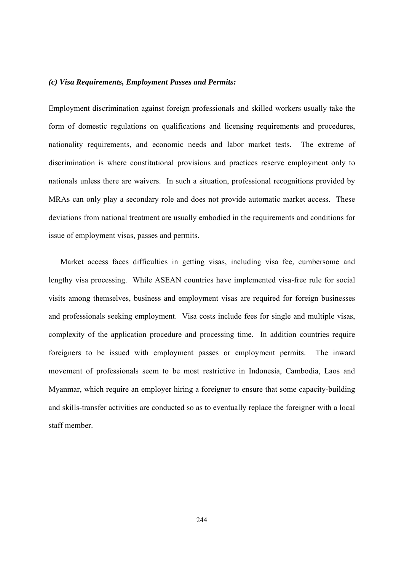### *(c) Visa Requirements, Employment Passes and Permits:*

Employment discrimination against foreign professionals and skilled workers usually take the form of domestic regulations on qualifications and licensing requirements and procedures, nationality requirements, and economic needs and labor market tests. The extreme of discrimination is where constitutional provisions and practices reserve employment only to nationals unless there are waivers. In such a situation, professional recognitions provided by MRAs can only play a secondary role and does not provide automatic market access. These deviations from national treatment are usually embodied in the requirements and conditions for issue of employment visas, passes and permits.

Market access faces difficulties in getting visas, including visa fee, cumbersome and lengthy visa processing. While ASEAN countries have implemented visa-free rule for social visits among themselves, business and employment visas are required for foreign businesses and professionals seeking employment. Visa costs include fees for single and multiple visas, complexity of the application procedure and processing time. In addition countries require foreigners to be issued with employment passes or employment permits. The inward movement of professionals seem to be most restrictive in Indonesia, Cambodia, Laos and Myanmar, which require an employer hiring a foreigner to ensure that some capacity-building and skills-transfer activities are conducted so as to eventually replace the foreigner with a local staff member.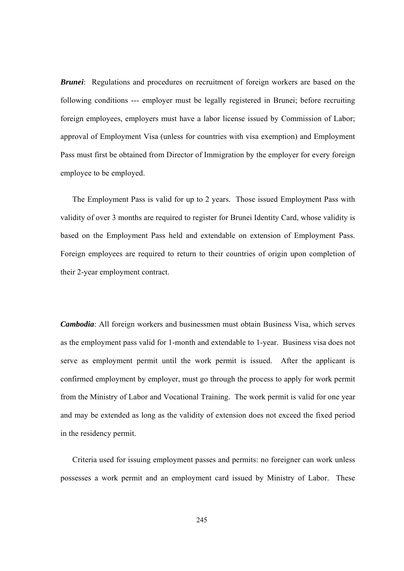*Brunei*: Regulations and procedures on recruitment of foreign workers are based on the following conditions --- employer must be legally registered in Brunei; before recruiting foreign employees, employers must have a labor license issued by Commission of Labor; approval of Employment Visa (unless for countries with visa exemption) and Employment Pass must first be obtained from Director of Immigration by the employer for every foreign employee to be employed.

The Employment Pass is valid for up to 2 years. Those issued Employment Pass with validity of over 3 months are required to register for Brunei Identity Card, whose validity is based on the Employment Pass held and extendable on extension of Employment Pass. Foreign employees are required to return to their countries of origin upon completion of their 2-year employment contract.

*Cambodia*: All foreign workers and businessmen must obtain Business Visa, which serves as the employment pass valid for 1-month and extendable to 1-year. Business visa does not serve as employment permit until the work permit is issued. After the applicant is confirmed employment by employer, must go through the process to apply for work permit from the Ministry of Labor and Vocational Training. The work permit is valid for one year and may be extended as long as the validity of extension does not exceed the fixed period in the residency permit.

Criteria used for issuing employment passes and permits: no foreigner can work unless possesses a work permit and an employment card issued by Ministry of Labor. These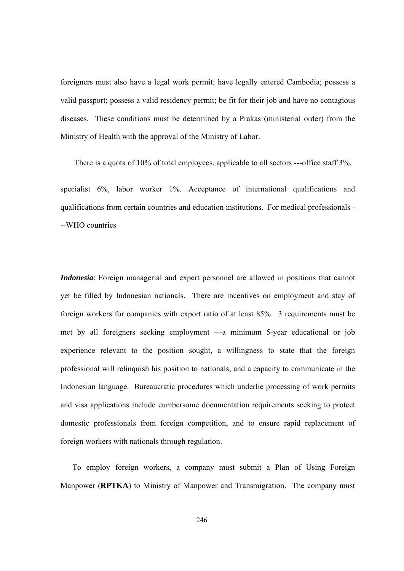foreigners must also have a legal work permit; have legally entered Cambodia; possess a valid passport; possess a valid residency permit; be fit for their job and have no contagious diseases. These conditions must be determined by a Prakas (ministerial order) from the Ministry of Health with the approval of the Ministry of Labor.

There is a quota of 10% of total employees, applicable to all sectors ---office staff 3%,

specialist 6%, labor worker 1%. Acceptance of international qualifications and qualifications from certain countries and education institutions. For medical professionals - --WHO countries

*Indonesia*: Foreign managerial and expert personnel are allowed in positions that cannot yet be filled by Indonesian nationals. There are incentives on employment and stay of foreign workers for companies with export ratio of at least 85%. 3 requirements must be met by all foreigners seeking employment ---a minimum 5-year educational or job experience relevant to the position sought, a willingness to state that the foreign professional will relinquish his position to nationals, and a capacity to communicate in the Indonesian language. Bureaucratic procedures which underlie processing of work permits and visa applications include cumbersome documentation requirements seeking to protect domestic professionals from foreign competition, and to ensure rapid replacement of foreign workers with nationals through regulation.

 To employ foreign workers, a company must submit a Plan of Using Foreign Manpower (**RPTKA**) to Ministry of Manpower and Transmigration. The company must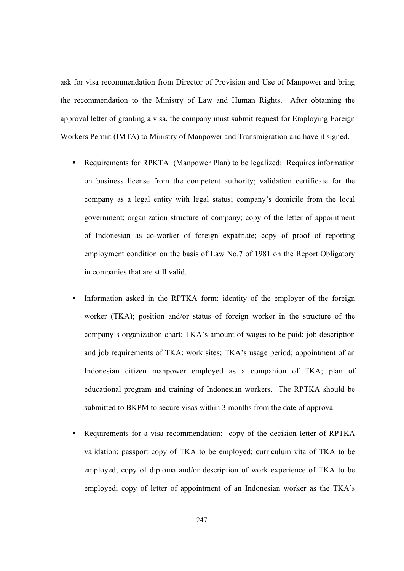ask for visa recommendation from Director of Provision and Use of Manpower and bring the recommendation to the Ministry of Law and Human Rights. After obtaining the approval letter of granting a visa, the company must submit request for Employing Foreign Workers Permit (IMTA) to Ministry of Manpower and Transmigration and have it signed.

- Requirements for RPKTA (Manpower Plan) to be legalized: Requires information on business license from the competent authority; validation certificate for the company as a legal entity with legal status; company's domicile from the local government; organization structure of company; copy of the letter of appointment of Indonesian as co-worker of foreign expatriate; copy of proof of reporting employment condition on the basis of Law No.7 of 1981 on the Report Obligatory in companies that are still valid.
- Information asked in the RPTKA form: identity of the employer of the foreign worker (TKA); position and/or status of foreign worker in the structure of the company's organization chart; TKA's amount of wages to be paid; job description and job requirements of TKA; work sites; TKA's usage period; appointment of an Indonesian citizen manpower employed as a companion of TKA; plan of educational program and training of Indonesian workers. The RPTKA should be submitted to BKPM to secure visas within 3 months from the date of approval
- Requirements for a visa recommendation: copy of the decision letter of RPTKA validation; passport copy of TKA to be employed; curriculum vita of TKA to be employed; copy of diploma and/or description of work experience of TKA to be employed; copy of letter of appointment of an Indonesian worker as the TKA's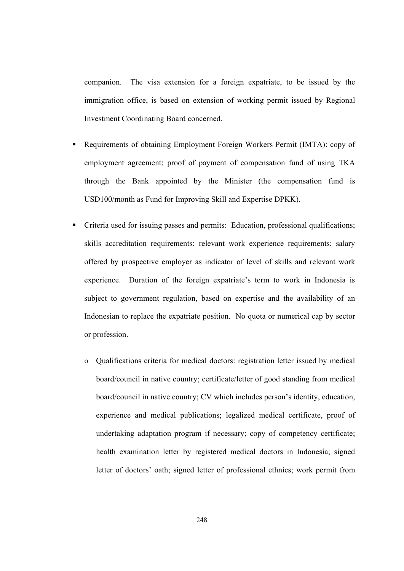companion. The visa extension for a foreign expatriate, to be issued by the immigration office, is based on extension of working permit issued by Regional Investment Coordinating Board concerned.

- Requirements of obtaining Employment Foreign Workers Permit (IMTA): copy of employment agreement; proof of payment of compensation fund of using TKA through the Bank appointed by the Minister (the compensation fund is USD100/month as Fund for Improving Skill and Expertise DPKK).
- Criteria used for issuing passes and permits: Education, professional qualifications; skills accreditation requirements; relevant work experience requirements; salary offered by prospective employer as indicator of level of skills and relevant work experience. Duration of the foreign expatriate's term to work in Indonesia is subject to government regulation, based on expertise and the availability of an Indonesian to replace the expatriate position. No quota or numerical cap by sector or profession.
	- o Qualifications criteria for medical doctors: registration letter issued by medical board/council in native country; certificate/letter of good standing from medical board/council in native country; CV which includes person's identity, education, experience and medical publications; legalized medical certificate, proof of undertaking adaptation program if necessary; copy of competency certificate; health examination letter by registered medical doctors in Indonesia; signed letter of doctors' oath; signed letter of professional ethnics; work permit from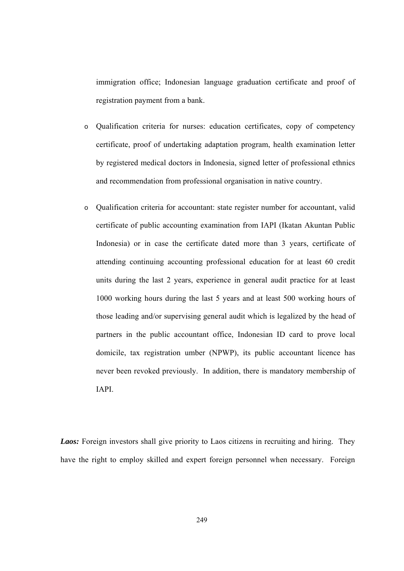immigration office; Indonesian language graduation certificate and proof of registration payment from a bank.

- o Qualification criteria for nurses: education certificates, copy of competency certificate, proof of undertaking adaptation program, health examination letter by registered medical doctors in Indonesia, signed letter of professional ethnics and recommendation from professional organisation in native country.
- o Qualification criteria for accountant: state register number for accountant, valid certificate of public accounting examination from IAPI (Ikatan Akuntan Public Indonesia) or in case the certificate dated more than 3 years, certificate of attending continuing accounting professional education for at least 60 credit units during the last 2 years, experience in general audit practice for at least 1000 working hours during the last 5 years and at least 500 working hours of those leading and/or supervising general audit which is legalized by the head of partners in the public accountant office, Indonesian ID card to prove local domicile, tax registration umber (NPWP), its public accountant licence has never been revoked previously. In addition, there is mandatory membership of IAPI.

*Laos:* Foreign investors shall give priority to Laos citizens in recruiting and hiring. They have the right to employ skilled and expert foreign personnel when necessary. Foreign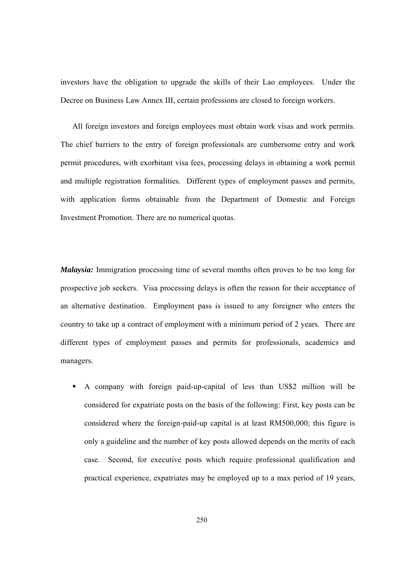investors have the obligation to upgrade the skills of their Lao employees. Under the Decree on Business Law Annex III, certain professions are closed to foreign workers.

All foreign investors and foreign employees must obtain work visas and work permits. The chief barriers to the entry of foreign professionals are cumbersome entry and work permit procedures, with exorbitant visa fees, processing delays in obtaining a work permit and multiple registration formalities. Different types of employment passes and permits, with application forms obtainable from the Department of Domestic and Foreign Investment Promotion. There are no numerical quotas.

*Malaysia:* Immigration processing time of several months often proves to be too long for prospective job seekers. Visa processing delays is often the reason for their acceptance of an alternative destination. Employment pass is issued to any foreigner who enters the country to take up a contract of employment with a minimum period of 2 years. There are different types of employment passes and permits for professionals, academics and managers.

 A company with foreign paid-up-capital of less than US\$2 million will be considered for expatriate posts on the basis of the following: First, key posts can be considered where the foreign-paid-up capital is at least RM500,000; this figure is only a guideline and the number of key posts allowed depends on the merits of each case. Second, for executive posts which require professional qualification and practical experience, expatriates may be employed up to a max period of 19 years,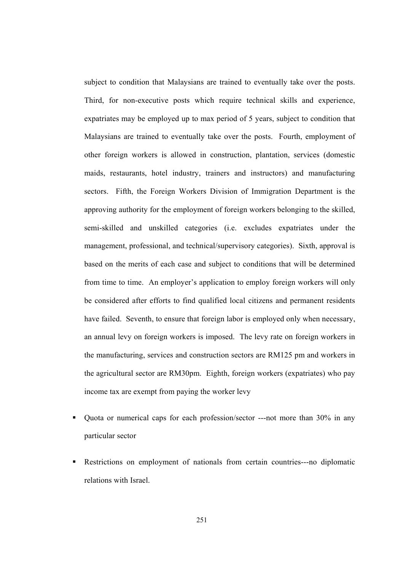subject to condition that Malaysians are trained to eventually take over the posts. Third, for non-executive posts which require technical skills and experience, expatriates may be employed up to max period of 5 years, subject to condition that Malaysians are trained to eventually take over the posts. Fourth, employment of other foreign workers is allowed in construction, plantation, services (domestic maids, restaurants, hotel industry, trainers and instructors) and manufacturing sectors. Fifth, the Foreign Workers Division of Immigration Department is the approving authority for the employment of foreign workers belonging to the skilled, semi-skilled and unskilled categories (i.e. excludes expatriates under the management, professional, and technical/supervisory categories). Sixth, approval is based on the merits of each case and subject to conditions that will be determined from time to time. An employer's application to employ foreign workers will only be considered after efforts to find qualified local citizens and permanent residents have failed. Seventh, to ensure that foreign labor is employed only when necessary, an annual levy on foreign workers is imposed. The levy rate on foreign workers in the manufacturing, services and construction sectors are RM125 pm and workers in the agricultural sector are RM30pm. Eighth, foreign workers (expatriates) who pay income tax are exempt from paying the worker levy

- Quota or numerical caps for each profession/sector ---not more than 30% in any particular sector
- Restrictions on employment of nationals from certain countries---no diplomatic relations with Israel.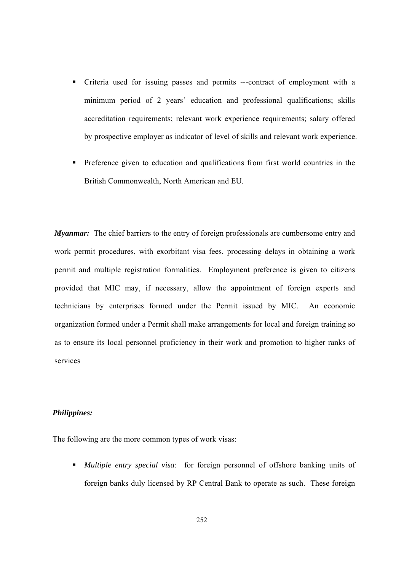- Criteria used for issuing passes and permits ---contract of employment with a minimum period of 2 years' education and professional qualifications; skills accreditation requirements; relevant work experience requirements; salary offered by prospective employer as indicator of level of skills and relevant work experience.
- **Preference given to education and qualifications from first world countries in the** British Commonwealth, North American and EU.

*Myanmar:* The chief barriers to the entry of foreign professionals are cumbersome entry and work permit procedures, with exorbitant visa fees, processing delays in obtaining a work permit and multiple registration formalities. Employment preference is given to citizens provided that MIC may, if necessary, allow the appointment of foreign experts and technicians by enterprises formed under the Permit issued by MIC. An economic organization formed under a Permit shall make arrangements for local and foreign training so as to ensure its local personnel proficiency in their work and promotion to higher ranks of services

### *Philippines:*

The following are the more common types of work visas:

 *Multiple entry special visa*: for foreign personnel of offshore banking units of foreign banks duly licensed by RP Central Bank to operate as such. These foreign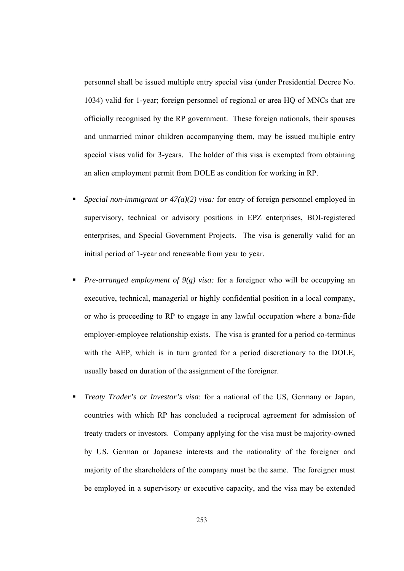personnel shall be issued multiple entry special visa (under Presidential Decree No. 1034) valid for 1-year; foreign personnel of regional or area HQ of MNCs that are officially recognised by the RP government. These foreign nationals, their spouses and unmarried minor children accompanying them, may be issued multiple entry special visas valid for 3-years. The holder of this visa is exempted from obtaining an alien employment permit from DOLE as condition for working in RP.

- *Special non-immigrant or 47(a)(2) visa:* for entry of foreign personnel employed in supervisory, technical or advisory positions in EPZ enterprises, BOI-registered enterprises, and Special Government Projects. The visa is generally valid for an initial period of 1-year and renewable from year to year.
- *Pre-arranged employment of 9(g) visa:* for a foreigner who will be occupying an executive, technical, managerial or highly confidential position in a local company, or who is proceeding to RP to engage in any lawful occupation where a bona-fide employer-employee relationship exists. The visa is granted for a period co-terminus with the AEP, which is in turn granted for a period discretionary to the DOLE, usually based on duration of the assignment of the foreigner.
- *Treaty Trader's or Investor's visa*: for a national of the US, Germany or Japan, countries with which RP has concluded a reciprocal agreement for admission of treaty traders or investors. Company applying for the visa must be majority-owned by US, German or Japanese interests and the nationality of the foreigner and majority of the shareholders of the company must be the same. The foreigner must be employed in a supervisory or executive capacity, and the visa may be extended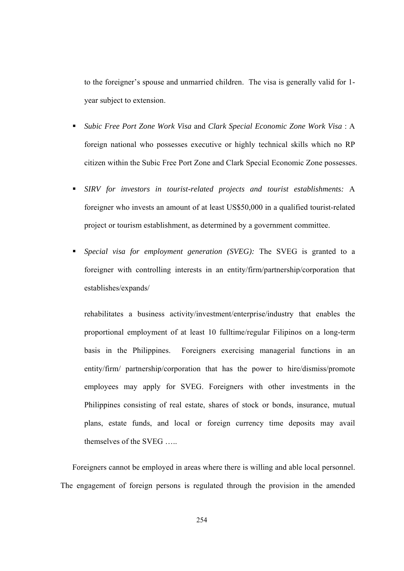to the foreigner's spouse and unmarried children. The visa is generally valid for 1 year subject to extension.

- *Subic Free Port Zone Work Visa* and *Clark Special Economic Zone Work Visa* : A foreign national who possesses executive or highly technical skills which no RP citizen within the Subic Free Port Zone and Clark Special Economic Zone possesses.
- *SIRV for investors in tourist-related projects and tourist establishments:* A foreigner who invests an amount of at least US\$50,000 in a qualified tourist-related project or tourism establishment, as determined by a government committee.
- *Special visa for employment generation (SVEG):* The SVEG is granted to a foreigner with controlling interests in an entity/firm/partnership/corporation that establishes/expands/

rehabilitates a business activity/investment/enterprise/industry that enables the proportional employment of at least 10 fulltime/regular Filipinos on a long-term basis in the Philippines. Foreigners exercising managerial functions in an entity/firm/ partnership/corporation that has the power to hire/dismiss/promote employees may apply for SVEG. Foreigners with other investments in the Philippines consisting of real estate, shares of stock or bonds, insurance, mutual plans, estate funds, and local or foreign currency time deposits may avail themselves of the SVEG …..

Foreigners cannot be employed in areas where there is willing and able local personnel. The engagement of foreign persons is regulated through the provision in the amended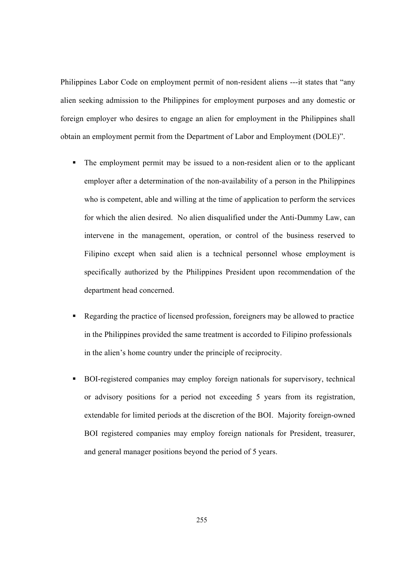Philippines Labor Code on employment permit of non-resident aliens ---it states that "any alien seeking admission to the Philippines for employment purposes and any domestic or foreign employer who desires to engage an alien for employment in the Philippines shall obtain an employment permit from the Department of Labor and Employment (DOLE)".

- The employment permit may be issued to a non-resident alien or to the applicant employer after a determination of the non-availability of a person in the Philippines who is competent, able and willing at the time of application to perform the services for which the alien desired. No alien disqualified under the Anti-Dummy Law, can intervene in the management, operation, or control of the business reserved to Filipino except when said alien is a technical personnel whose employment is specifically authorized by the Philippines President upon recommendation of the department head concerned.
- Regarding the practice of licensed profession, foreigners may be allowed to practice in the Philippines provided the same treatment is accorded to Filipino professionals in the alien's home country under the principle of reciprocity.
- BOI-registered companies may employ foreign nationals for supervisory, technical or advisory positions for a period not exceeding 5 years from its registration, extendable for limited periods at the discretion of the BOI. Majority foreign-owned BOI registered companies may employ foreign nationals for President, treasurer, and general manager positions beyond the period of 5 years.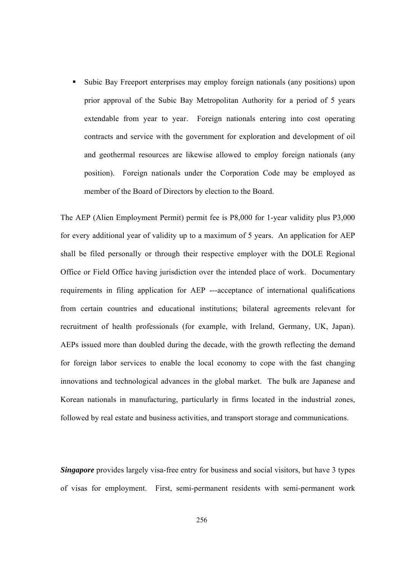Subic Bay Freeport enterprises may employ foreign nationals (any positions) upon prior approval of the Subic Bay Metropolitan Authority for a period of 5 years extendable from year to year. Foreign nationals entering into cost operating contracts and service with the government for exploration and development of oil and geothermal resources are likewise allowed to employ foreign nationals (any position). Foreign nationals under the Corporation Code may be employed as member of the Board of Directors by election to the Board.

The AEP (Alien Employment Permit) permit fee is P8,000 for 1-year validity plus P3,000 for every additional year of validity up to a maximum of 5 years. An application for AEP shall be filed personally or through their respective employer with the DOLE Regional Office or Field Office having jurisdiction over the intended place of work. Documentary requirements in filing application for AEP ---acceptance of international qualifications from certain countries and educational institutions; bilateral agreements relevant for recruitment of health professionals (for example, with Ireland, Germany, UK, Japan). AEPs issued more than doubled during the decade, with the growth reflecting the demand for foreign labor services to enable the local economy to cope with the fast changing innovations and technological advances in the global market. The bulk are Japanese and Korean nationals in manufacturing, particularly in firms located in the industrial zones, followed by real estate and business activities, and transport storage and communications.

*Singapore* provides largely visa-free entry for business and social visitors, but have 3 types of visas for employment. First, semi-permanent residents with semi-permanent work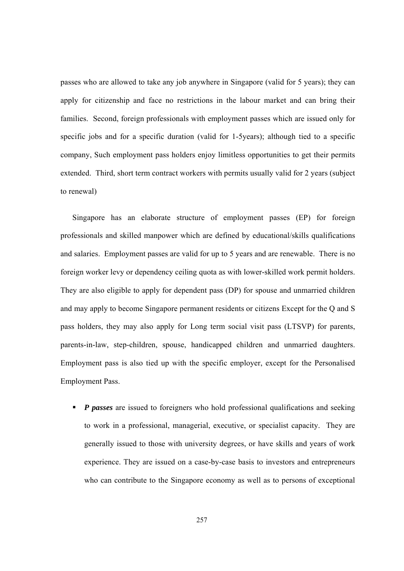passes who are allowed to take any job anywhere in Singapore (valid for 5 years); they can apply for citizenship and face no restrictions in the labour market and can bring their families. Second, foreign professionals with employment passes which are issued only for specific jobs and for a specific duration (valid for 1-5years); although tied to a specific company, Such employment pass holders enjoy limitless opportunities to get their permits extended. Third, short term contract workers with permits usually valid for 2 years (subject to renewal)

Singapore has an elaborate structure of employment passes (EP) for foreign professionals and skilled manpower which are defined by educational/skills qualifications and salaries. Employment passes are valid for up to 5 years and are renewable. There is no foreign worker levy or dependency ceiling quota as with lower-skilled work permit holders. They are also eligible to apply for dependent pass (DP) for spouse and unmarried children and may apply to become Singapore permanent residents or citizens Except for the Q and S pass holders, they may also apply for Long term social visit pass (LTSVP) for parents, parents-in-law, step-children, spouse, handicapped children and unmarried daughters. Employment pass is also tied up with the specific employer, except for the Personalised Employment Pass.

*P passes* are issued to foreigners who hold professional qualifications and seeking to work in a professional, managerial, executive, or specialist capacity. They are generally issued to those with university degrees, or have skills and years of work experience. They are issued on a case-by-case basis to investors and entrepreneurs who can contribute to the Singapore economy as well as to persons of exceptional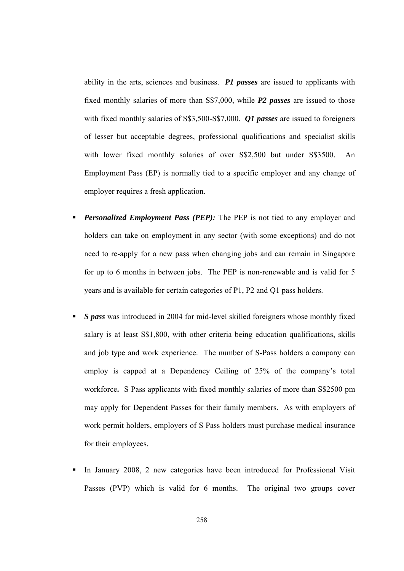ability in the arts, sciences and business. *P1 passes* are issued to applicants with fixed monthly salaries of more than S\$7,000, while *P2 passes* are issued to those with fixed monthly salaries of S\$3,500-S\$7,000. *Q1 passes* are issued to foreigners of lesser but acceptable degrees, professional qualifications and specialist skills with lower fixed monthly salaries of over S\$2,500 but under S\$3500. An Employment Pass (EP) is normally tied to a specific employer and any change of employer requires a fresh application.

- *Personalized Employment Pass (PEP):* The PEP is not tied to any employer and holders can take on employment in any sector (with some exceptions) and do not need to re-apply for a new pass when changing jobs and can remain in Singapore for up to 6 months in between jobs. The PEP is non-renewable and is valid for 5 years and is available for certain categories of P1, P2 and Q1 pass holders.
- *S pass* was introduced in 2004 for mid-level skilled foreigners whose monthly fixed salary is at least S\$1,800, with other criteria being education qualifications, skills and job type and work experience. The number of S-Pass holders a company can employ is capped at a Dependency Ceiling of 25% of the company's total workforce**.** S Pass applicants with fixed monthly salaries of more than S\$2500 pm may apply for Dependent Passes for their family members. As with employers of work permit holders, employers of S Pass holders must purchase medical insurance for their employees.
- In January 2008, 2 new categories have been introduced for Professional Visit Passes (PVP) which is valid for 6 months. The original two groups cover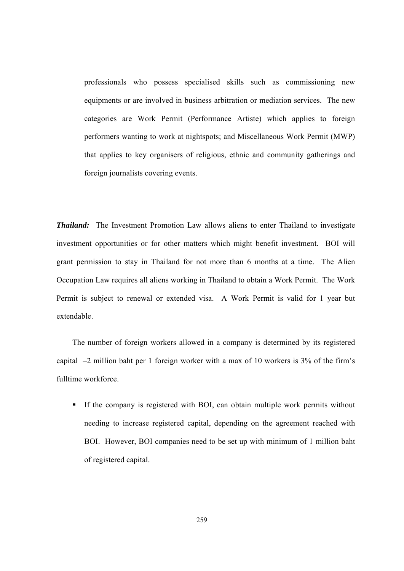professionals who possess specialised skills such as commissioning new equipments or are involved in business arbitration or mediation services. The new categories are Work Permit (Performance Artiste) which applies to foreign performers wanting to work at nightspots; and Miscellaneous Work Permit (MWP) that applies to key organisers of religious, ethnic and community gatherings and foreign journalists covering events.

*Thailand:* The Investment Promotion Law allows aliens to enter Thailand to investigate investment opportunities or for other matters which might benefit investment. BOI will grant permission to stay in Thailand for not more than 6 months at a time. The Alien Occupation Law requires all aliens working in Thailand to obtain a Work Permit. The Work Permit is subject to renewal or extended visa. A Work Permit is valid for 1 year but extendable.

The number of foreign workers allowed in a company is determined by its registered capital –2 million baht per 1 foreign worker with a max of 10 workers is 3% of the firm's fulltime workforce.

 If the company is registered with BOI, can obtain multiple work permits without needing to increase registered capital, depending on the agreement reached with BOI. However, BOI companies need to be set up with minimum of 1 million baht of registered capital.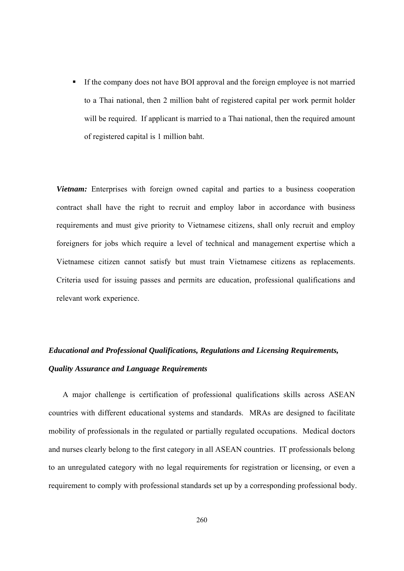If the company does not have BOI approval and the foreign employee is not married to a Thai national, then 2 million baht of registered capital per work permit holder will be required. If applicant is married to a Thai national, then the required amount of registered capital is 1 million baht.

*Vietnam:* Enterprises with foreign owned capital and parties to a business cooperation contract shall have the right to recruit and employ labor in accordance with business requirements and must give priority to Vietnamese citizens, shall only recruit and employ foreigners for jobs which require a level of technical and management expertise which a Vietnamese citizen cannot satisfy but must train Vietnamese citizens as replacements. Criteria used for issuing passes and permits are education, professional qualifications and relevant work experience.

# *Educational and Professional Qualifications, Regulations and Licensing Requirements, Quality Assurance and Language Requirements*

A major challenge is certification of professional qualifications skills across ASEAN countries with different educational systems and standards. MRAs are designed to facilitate mobility of professionals in the regulated or partially regulated occupations. Medical doctors and nurses clearly belong to the first category in all ASEAN countries. IT professionals belong to an unregulated category with no legal requirements for registration or licensing, or even a requirement to comply with professional standards set up by a corresponding professional body.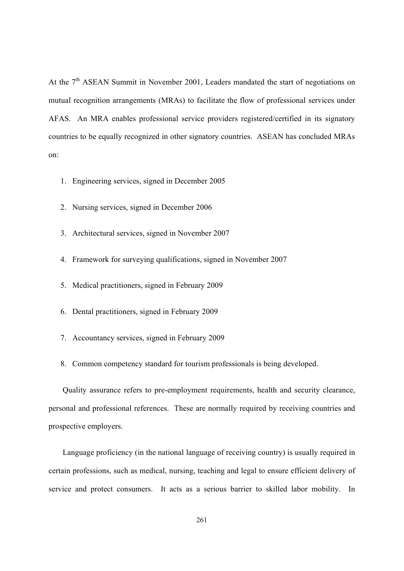At the 7<sup>th</sup> ASEAN Summit in November 2001, Leaders mandated the start of negotiations on mutual recognition arrangements (MRAs) to facilitate the flow of professional services under AFAS. An MRA enables professional service providers registered/certified in its signatory countries to be equally recognized in other signatory countries. ASEAN has concluded MRAs on:

- 1. Engineering services, signed in December 2005
- 2. Nursing services, signed in December 2006
- 3. Architectural services, signed in November 2007
- 4. Framework for surveying qualifications, signed in November 2007
- 5. Medical practitioners, signed in February 2009
- 6. Dental practitioners, signed in February 2009
- 7. Accountancy services, signed in February 2009
- 8. Common competency standard for tourism professionals is being developed.

Quality assurance refers to pre-employment requirements, health and security clearance, personal and professional references. These are normally required by receiving countries and prospective employers.

Language proficiency (in the national language of receiving country) is usually required in certain professions, such as medical, nursing, teaching and legal to ensure efficient delivery of service and protect consumers. It acts as a serious barrier to skilled labor mobility. In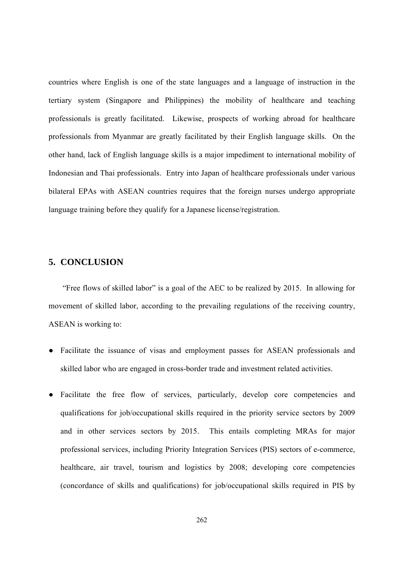countries where English is one of the state languages and a language of instruction in the tertiary system (Singapore and Philippines) the mobility of healthcare and teaching professionals is greatly facilitated. Likewise, prospects of working abroad for healthcare professionals from Myanmar are greatly facilitated by their English language skills. On the other hand, lack of English language skills is a major impediment to international mobility of Indonesian and Thai professionals. Entry into Japan of healthcare professionals under various bilateral EPAs with ASEAN countries requires that the foreign nurses undergo appropriate language training before they qualify for a Japanese license/registration.

## **5. CONCLUSION**

"Free flows of skilled labor" is a goal of the AEC to be realized by 2015. In allowing for movement of skilled labor, according to the prevailing regulations of the receiving country, ASEAN is working to:

- Facilitate the issuance of visas and employment passes for ASEAN professionals and skilled labor who are engaged in cross-border trade and investment related activities.
- Facilitate the free flow of services, particularly, develop core competencies and qualifications for job/occupational skills required in the priority service sectors by 2009 and in other services sectors by 2015. This entails completing MRAs for major professional services, including Priority Integration Services (PIS) sectors of e-commerce, healthcare, air travel, tourism and logistics by 2008; developing core competencies (concordance of skills and qualifications) for job/occupational skills required in PIS by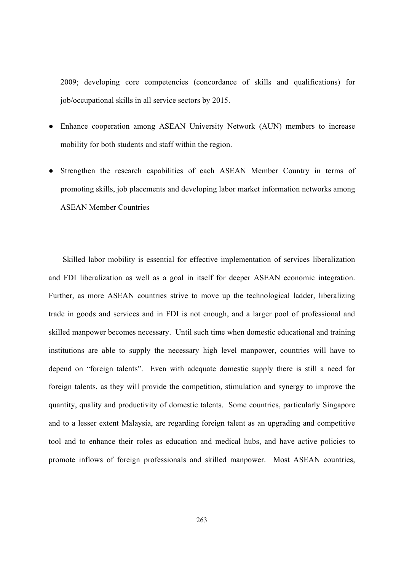2009; developing core competencies (concordance of skills and qualifications) for job/occupational skills in all service sectors by 2015.

- Enhance cooperation among ASEAN University Network (AUN) members to increase mobility for both students and staff within the region.
- Strengthen the research capabilities of each ASEAN Member Country in terms of promoting skills, job placements and developing labor market information networks among ASEAN Member Countries

Skilled labor mobility is essential for effective implementation of services liberalization and FDI liberalization as well as a goal in itself for deeper ASEAN economic integration. Further, as more ASEAN countries strive to move up the technological ladder, liberalizing trade in goods and services and in FDI is not enough, and a larger pool of professional and skilled manpower becomes necessary. Until such time when domestic educational and training institutions are able to supply the necessary high level manpower, countries will have to depend on "foreign talents". Even with adequate domestic supply there is still a need for foreign talents, as they will provide the competition, stimulation and synergy to improve the quantity, quality and productivity of domestic talents. Some countries, particularly Singapore and to a lesser extent Malaysia, are regarding foreign talent as an upgrading and competitive tool and to enhance their roles as education and medical hubs, and have active policies to promote inflows of foreign professionals and skilled manpower. Most ASEAN countries,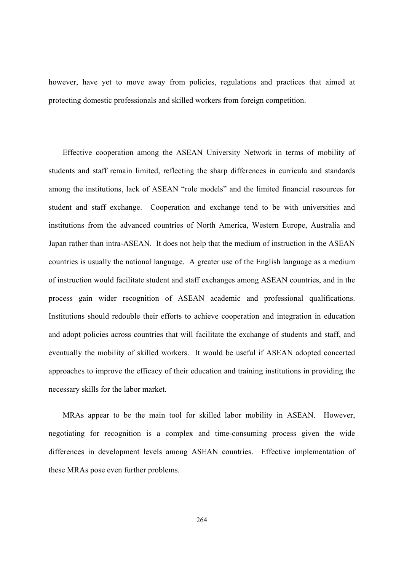however, have yet to move away from policies, regulations and practices that aimed at protecting domestic professionals and skilled workers from foreign competition.

Effective cooperation among the ASEAN University Network in terms of mobility of students and staff remain limited, reflecting the sharp differences in curricula and standards among the institutions, lack of ASEAN "role models" and the limited financial resources for student and staff exchange. Cooperation and exchange tend to be with universities and institutions from the advanced countries of North America, Western Europe, Australia and Japan rather than intra-ASEAN. It does not help that the medium of instruction in the ASEAN countries is usually the national language. A greater use of the English language as a medium of instruction would facilitate student and staff exchanges among ASEAN countries, and in the process gain wider recognition of ASEAN academic and professional qualifications. Institutions should redouble their efforts to achieve cooperation and integration in education and adopt policies across countries that will facilitate the exchange of students and staff, and eventually the mobility of skilled workers. It would be useful if ASEAN adopted concerted approaches to improve the efficacy of their education and training institutions in providing the necessary skills for the labor market.

MRAs appear to be the main tool for skilled labor mobility in ASEAN. However, negotiating for recognition is a complex and time-consuming process given the wide differences in development levels among ASEAN countries. Effective implementation of these MRAs pose even further problems.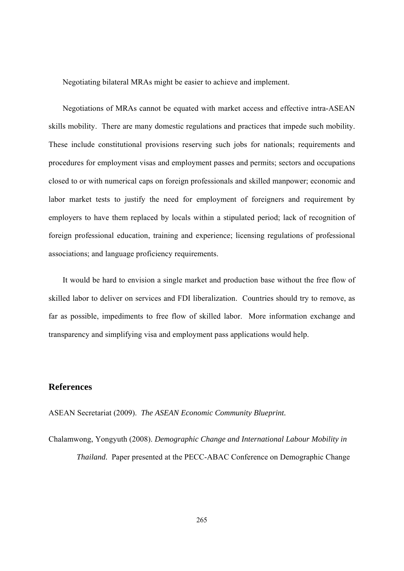Negotiating bilateral MRAs might be easier to achieve and implement.

Negotiations of MRAs cannot be equated with market access and effective intra-ASEAN skills mobility. There are many domestic regulations and practices that impede such mobility. These include constitutional provisions reserving such jobs for nationals; requirements and procedures for employment visas and employment passes and permits; sectors and occupations closed to or with numerical caps on foreign professionals and skilled manpower; economic and labor market tests to justify the need for employment of foreigners and requirement by employers to have them replaced by locals within a stipulated period; lack of recognition of foreign professional education, training and experience; licensing regulations of professional associations; and language proficiency requirements.

It would be hard to envision a single market and production base without the free flow of skilled labor to deliver on services and FDI liberalization. Countries should try to remove, as far as possible, impediments to free flow of skilled labor. More information exchange and transparency and simplifying visa and employment pass applications would help.

## **References**

ASEAN Secretariat (2009). *The ASEAN Economic Community Blueprint.* 

Chalamwong, Yongyuth (2008). *Demographic Change and International Labour Mobility in Thailand.* Paper presented at the PECC-ABAC Conference on Demographic Change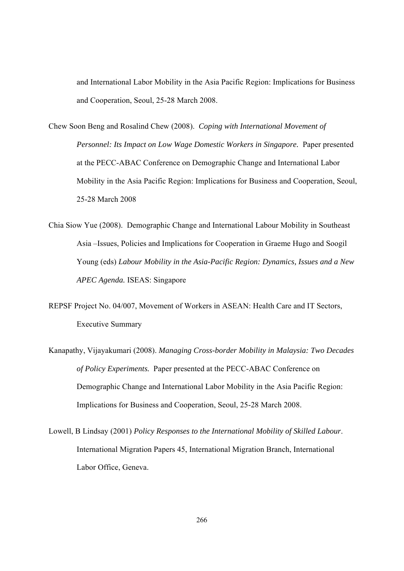and International Labor Mobility in the Asia Pacific Region: Implications for Business and Cooperation, Seoul, 25-28 March 2008.

- Chew Soon Beng and Rosalind Chew (2008). *Coping with International Movement of Personnel: Its Impact on Low Wage Domestic Workers in Singapore.* Paper presented at the PECC-ABAC Conference on Demographic Change and International Labor Mobility in the Asia Pacific Region: Implications for Business and Cooperation, Seoul, 25-28 March 2008
- Chia Siow Yue (2008). Demographic Change and International Labour Mobility in Southeast Asia –Issues, Policies and Implications for Cooperation in Graeme Hugo and Soogil Young (eds) *Labour Mobility in the Asia-Pacific Region: Dynamics, Issues and a New APEC Agenda.* ISEAS: Singapore
- REPSF Project No. 04/007, Movement of Workers in ASEAN: Health Care and IT Sectors, Executive Summary
- Kanapathy, Vijayakumari (2008). *Managing Cross-border Mobility in Malaysia: Two Decades of Policy Experiments.* Paper presented at the PECC-ABAC Conference on Demographic Change and International Labor Mobility in the Asia Pacific Region: Implications for Business and Cooperation, Seoul, 25-28 March 2008.
- Lowell, B Lindsay (2001) *Policy Responses to the International Mobility of Skilled Labour*. International Migration Papers 45, International Migration Branch, International Labor Office, Geneva.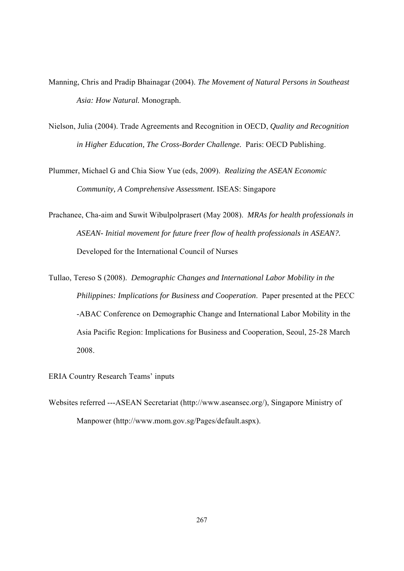- Manning, Chris and Pradip Bhainagar (2004). *The Movement of Natural Persons in Southeast Asia: How Natural.* Monograph.
- Nielson, Julia (2004). Trade Agreements and Recognition in OECD, *Quality and Recognition in Higher Education, The Cross-Border Challenge.* Paris: OECD Publishing.

Plummer, Michael G and Chia Siow Yue (eds, 2009). *Realizing the ASEAN Economic Community, A Comprehensive Assessment.* ISEAS: Singapore

Prachanee, Cha-aim and Suwit Wibulpolprasert (May 2008). *MRAs for health professionals in ASEAN- Initial movement for future freer flow of health professionals in ASEAN?.*  Developed for the International Council of Nurses

Tullao, Tereso S (2008). *Demographic Changes and International Labor Mobility in the Philippines: Implications for Business and Cooperation*. Paper presented at the PECC -ABAC Conference on Demographic Change and International Labor Mobility in the Asia Pacific Region: Implications for Business and Cooperation, Seoul, 25-28 March 2008.

ERIA Country Research Teams' inputs

Websites referred ---ASEAN Secretariat (http://www.aseansec.org/), Singapore Ministry of Manpower (http://www.mom.gov.sg/Pages/default.aspx).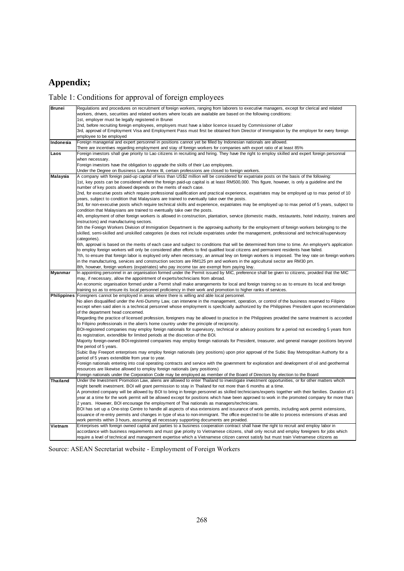# **Appendix;**

# Table 1: Conditions for approval of foreign employees

| <b>Brunei</b>      | Regulations and procedures on recruitment of foreign workers, ranging from laborers to executive managers, except for clerical and related                               |
|--------------------|--------------------------------------------------------------------------------------------------------------------------------------------------------------------------|
|                    | workers, drivers, securities and related workers where locals are available are based on the following conditions:<br>1st, employer must be legally registered in Brunei |
|                    | 2nd, before recruiting foreign employees, employers must have a labor licence issued by Commissioner of Labor                                                            |
|                    | 3rd, approval of Employment Visa and Employment Pass must first be obtained from Director of Immigration by the employer for every foreign                               |
|                    | employee to be employed                                                                                                                                                  |
| Indonesia          | Foreign managerial and expert personnel in positions cannot yet be filled by Indonesian nationals are allowed.                                                           |
|                    | There are incentives regarding employment and stay of foreign workers for companies with export ratio of at least 85%                                                    |
| Laos               | Foreign investors shall give priority to Lao citizens in recruiting and hiring. They have the right to employ skilled and expert foreign personnal                       |
|                    | when necessary.                                                                                                                                                          |
|                    | Foreign investors have the obligation to upgrade the skills of their Lao employees.                                                                                      |
|                    | Under the Degree on Business Law Annex III, certain professions are closed to foreign workers.                                                                           |
| Malaysia           | A company with foreign paid-up capital of less than US\$2 million will be considered for expatriate posts on the basis of the following:                                 |
|                    | 1st, key posts can be considered where the foreign paid-up capital is at least RM500,000. This figure, however, is only a guideline and the                              |
|                    | number of key posts allowed depends on the merits of each case.                                                                                                          |
|                    | 2nd, for executive posts which require professional qualification and practical experience, expatriates may be employed up to max period of 10                           |
|                    | years, subject to condition that Malaysians are trained to eventually take over the posts.                                                                               |
|                    | 3rd, for non-executive posts which require technical skills and experience, expatriates may be employed up to max period of 5 years, subject to                          |
|                    | condition that Malaysians are trained to eventually take over the posts.                                                                                                 |
|                    | 4th, employment of other foreign workers is allowed in construction, plantation, service (domestic maids, restaurants, hotel industry, trainers and                      |
|                    | instructors) and manufacturing sectors.                                                                                                                                  |
|                    | 5th the Foreign Workers Division of Immigration Department is the approving authority for the employment of foreign workers belonging to the                             |
|                    | skilled, semi-skilled and unskilled categories (ie does not include expatriates under the management, professional and technical/supervisory                             |
|                    | categories).<br>6th, approval is based on the merits of each case and subject to conditions that will be determined from time to time. An employer's application         |
|                    | to employ foreign workers will only be considered after efforts to find qualified local citizens and permanent residents have failed.                                    |
|                    | 7th, to ensure that foreign labor is exployed only when necessary, an annual levy on foreign workers is imposed. The levy rate on foreign workers                        |
|                    | in the manufacturing, services and construction sectors are RM125 pm and workers in the agricultural sector are RM30 pm.                                                 |
|                    | 8th, however, foreign workers (expatriates) who pay income tax are exempt from paying levy.                                                                              |
| <b>Myanmar</b>     | In appointing personnel in an organisation formed under the Permit issued by MIC, preference shall be given to citizens, provided that the MIC                           |
|                    | may, if necessary, allow the appointment of experts/technicians from abroad.                                                                                             |
|                    | An economic organisation formed under a Permit shall make arrangements for local and foreign training so as to ensure its local and foreign                              |
|                    | training so as to ensure its local personnel proficiency in their work and promotion to higher ranks of services.                                                        |
| <b>Philippines</b> | Foreigners cannot be employed in areas where there is willing and able local personnel.                                                                                  |
|                    | No alien disqualified under the Anti-Dummy Law, can intervene in the management, operation, or control of the business reserved to Filipino                              |
|                    | except when said alien is a technical personnel whose employment is specficially authorized by the Philippines President upon recommendation                             |
|                    | of the department head concerned.                                                                                                                                        |
|                    | Regarding the practice of licensed profession, foreigners may be allowed to practice in the Philippines provided the same treatment is accorded                          |
|                    | to Filipino professionals in the alien's home country under the principle of reciprocity.                                                                                |
|                    | BOI-registered companies may employ foreign nationals for supervisory, technical or advisory positions for a period not exceeding 5 years from                           |
|                    | its registration, extendible for limited periods at the discretion of the BOI.                                                                                           |
|                    | Majority foreign-owned BOI-registered companies may employ foreign nationals for President, treasurer, and general manager positions beyond<br>the period of 5 years.    |
|                    | Subic Bay Freeport enterprises may employ foreign nationals (any positions) upon prior approval of the Subic Bay Metropolitan Authorty for a                             |
|                    | period of 5 years extendible from year to year.                                                                                                                          |
|                    | Foreign nationals entering into coal operating contracts and service with the government for exploration and development of oil and geothermal                           |
|                    | resources are likewise allowed to employ foreign nationals (any positions)                                                                                               |
|                    | Foreign nationals under the Corporation Code may be employed as member of the Board of Directors by election to the Board                                                |
| <b>Thailand</b>    | Under the Investment Promotion Law, aliens are allowed to enter Thailand to investigate investment opportunities, or for other matters whcih                             |
|                    | might benefit investment. BOI will grant permission to stay in Thailand for not more than 6 months at a time.                                                            |
|                    | A promoted company will be allowed by BOI to bring in foreign personnel as skilled technicians/experts together with their families. Duration of 1                       |
|                    | year at a time for the work permit will be allowed except for positions which have been approved to work in the promoted company for more than                           |
|                    | 2 years. However, BOI encourage the employment of Thai nationals as managers/technicians.                                                                                |
|                    | BOI has set up a One-stop Centre to handle all aspects of visa extensions and issurance of work permits, including work permit extensions,                               |
|                    | issuance of re-entry permits and changes in type of visa to non-immigrant. The office expected to be able to process extensions of visas and                             |
|                    | work permits within 3 hours, assuming all necessary supporting documents are provided.                                                                                   |
| Vietnam            | Enterprises with foreign owned capital and parties to a business cooperation contract shall have the right to recruit and employ labor in                                |
|                    | accordance with business requirements and must give priority to Vietnamese citizens, shall only recruit and employ foreigners for jobs which                             |
|                    | require a level of technical and management expertise which a Vietnamese citizen cannot satisfy but must train Vietnamese citizens as                                    |

Source: ASEAN Secretariat website - Employment of Foreign Workers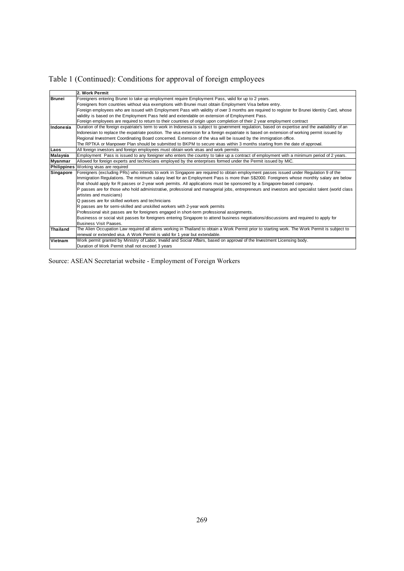Table 1 (Continued): Conditions for approval of foreign employees

|                 | 2. Work Permit                                                                                                                                    |
|-----------------|---------------------------------------------------------------------------------------------------------------------------------------------------|
| <b>Brunei</b>   | Foreigners entering Brunei to take up employment require Employment Pass, valid for up to 2 years.                                                |
|                 | Foreigners from countries without visa exemptions with Brunei must obtain Employment Visa before entry.                                           |
|                 | Foreign employees who are issued with Employment Pass with validity of over 3 months are required to register for Brunei Identity Card, whose     |
|                 | validity is based on the Employment Pass held and extendable on extension of Employment Pass.                                                     |
|                 | Foreign employees are required to return to their countries of origin upon completion of their 2 year employment contract                         |
| Indonesia       | Duration of the foreign expatriate's term to work in Indonesia is subject to government regulation, based on expertise and the availability of an |
|                 | Indonesian to replace the expatriate position. The visa extension for a foreign expatriate is based on extension of working permit issued by      |
|                 | Regional Investment Coordinating Board concerned. Extension of the visa will be issued by the immigration office.                                 |
|                 | The RPTKA or Manpower Plan should be submitted to BKPM to secure visas within 3 months starting from the date of approval.                        |
| Laos            | All foreign investors and foreign employees must obtain work visas and work permits                                                               |
| <b>Malaysia</b> | Employment Pass is issued to any foreigner who enters the country to take up a contract of employment with a minimum period of 2 years.           |
| <b>Myanmar</b>  | Allowed for foreign experts and technicians employed by the enterprises formed under the Permit issued by MIC.                                    |
| Philippines     | Working visas are required                                                                                                                        |
| Singapore       | Foreigners (excluding PRs) who intends to work in Singapore are required to obtain employment passes issued under Regulation 9 of the             |
|                 | Immigration Regulations. The minimum salary level for an Employment Pass is more than S\$2000. Foreigners whose monthly salary are below          |
|                 | that should apply for R passes or 2-year work permits. All applications must be sponsored by a Singapore-based company.                           |
|                 | P passes are for those who hold administrative, professional and managerial jobs, entrepreneurs and investors and specialist talent (world class  |
|                 | artistes and musicians)                                                                                                                           |
|                 | Q passes are for skilled workers and technicians                                                                                                  |
|                 | R passes are for semi-skilled and unskilled workers with 2-year work permits                                                                      |
|                 | Professional visit passes are for foreigners engaged in short-term professional assignments.                                                      |
|                 | Businesss or social visit passes for foreigners entering Singapore to attend business negotiations/discussions and required to apply for          |
|                 | <b>Business Visit Paases.</b>                                                                                                                     |
| <b>Thailand</b> | The Alien Occupation Law required all aliens working in Thailand to obtain a Work Permit prior to starting work. The Work Permit is subject to    |
|                 | renewal or extended visa. A Work Permit is valid for 1 year but extendable.                                                                       |
| Vietnam         | Work permit granted by Ministry of Labor, Invalid and Social Affairs, based on approval of the Investment Licensing body.                         |
|                 | Duration of Work Permit shall not exceed 3 years                                                                                                  |

Source: ASEAN Secretariat website - Employment of Foreign Workers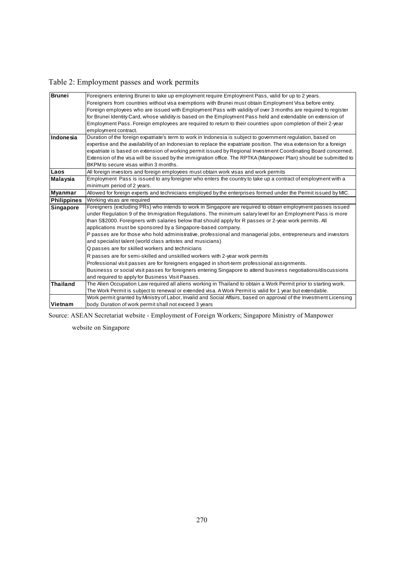Table 2: Employment passes and work permits

| <b>Brunei</b>      | Foreigners entering Brunei to take up employment require Employment Pass, valid for up to 2 years.                   |
|--------------------|----------------------------------------------------------------------------------------------------------------------|
|                    | Foreigners from countries without visa exemptions with Brunei must obtain Employment Visa before entry.              |
|                    | Foreign employees who are issued with Employment Pass with validity of over 3 months are required to register        |
|                    | for Brunei Identity Card, whose validity is based on the Employment Pass held and extendable on extension of         |
|                    | Employment Pass. Foreign employees are required to return to their countries upon completion of their 2-year         |
|                    | employment contract.                                                                                                 |
| Indonesia          | Duration of the foreign expatriate's term to work in Indonesia is subject to government regulation, based on         |
|                    | expertise and the availability of an Indonesian to replace the expatriate position. The visa extension for a foreign |
|                    | expatriate is based on extension of working permit issued by Regional Investment Coordinating Board concerned.       |
|                    | Extension of the visa will be issued by the immigration office. The RPTKA (Manpower Plan) should be submitted to     |
|                    | BKPM to secure visas within 3 months.                                                                                |
| Laos               | All foreign investors and foreign employees must obtain work visas and work permits                                  |
| <b>Malaysia</b>    | Employment Pass is issued to any foreigner who enters the country to take up a contract of employment with a         |
|                    | minimum period of 2 years.                                                                                           |
| <b>Myanmar</b>     | Allowed for foreign experts and technicians employed by the enterprises formed under the Permit issued by MIC.       |
| <b>Philippines</b> | Working visas are required                                                                                           |
| <b>Singapore</b>   | Foreigners (excluding PRs) who intends to work in Singapore are required to obtain employment passes issued          |
|                    | under Regulation 9 of the Immigration Regulations. The minimum salary level for an Employment Pass is more           |
|                    | than S\$2000. Foreigners with salaries below that should apply for R passes or 2-year work permits. All              |
|                    | applications must be sponsored by a Singapore-based company.                                                         |
|                    | P passes are for those who hold administrative, professional and managerial jobs, entrepreneurs and investors        |
|                    | and specialist talent (world class artistes and musicians)                                                           |
|                    | Q passes are for skilled workers and technicians                                                                     |
|                    | R passes are for semi-skilled and unskilled workers with 2-year work permits                                         |
|                    | Professional visit passes are for foreigners engaged in short-term professional assignments.                         |
|                    | Businesss or social visit passes for foreigners entering Singapore to attend business negotiations/discussions       |
|                    | and required to apply for Business Visit Paases.                                                                     |
| <b>Thailand</b>    | The Alien Occupation Law required all aliens working in Thailand to obtain a Work Permit prior to starting work.     |
|                    | The Work Permit is subject to renewal or extended visa. A Work Permit is valid for 1 year but extendable.            |
|                    | Work permit granted by Ministry of Labor, Invalid and Social Affairs, based on approval of the Investment Licensing  |
| Vietnam            | body. Duration of work permit shall not exceed 3 years                                                               |

Source: ASEAN Secretariat website - Employment of Foreign Workers; Singapore Ministry of Manpower

website on Singapore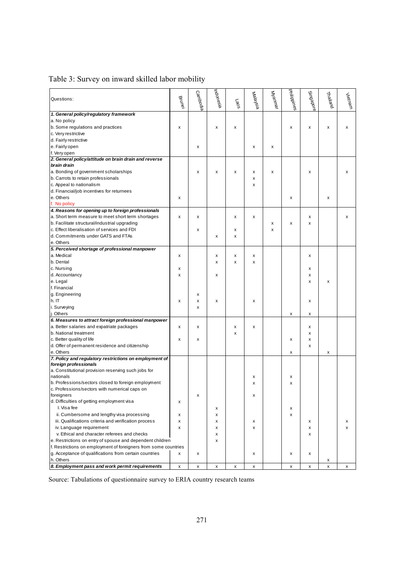| Questions:                                                      | Brune | Cambodia           | Indonesia | <b>Paos</b> | Malaysia | Wannar | <b>Philippines</b> | Singapore | Thailand | Vietnam      |
|-----------------------------------------------------------------|-------|--------------------|-----------|-------------|----------|--------|--------------------|-----------|----------|--------------|
| 1. General policy/regulatory framework                          |       |                    |           |             |          |        |                    |           |          |              |
| a. No policy                                                    |       |                    |           |             |          |        |                    |           |          |              |
| b. Some regulations and practices                               | x     |                    | x         | x           |          |        | x                  | х         | x        | x            |
| c. Very restrictive                                             |       |                    |           |             |          |        |                    |           |          |              |
| d. Fairly restrictive                                           |       |                    |           |             |          |        |                    |           |          |              |
| e. Fairly open                                                  |       | x                  |           |             | x        | х      |                    |           |          |              |
| f. Very open                                                    |       |                    |           |             |          |        |                    |           |          |              |
| 2. General policy/attitude on brain drain and reverse           |       |                    |           |             |          |        |                    |           |          |              |
| brain drain                                                     |       |                    |           |             |          |        |                    |           |          |              |
| a. Bonding of government scholarships                           |       | x                  | x         | x           | x        | x      |                    | x         |          | x            |
| b. Carrots to retain professionals                              |       |                    |           |             | x        |        |                    |           |          |              |
| c. Appeal to nationalism                                        |       |                    |           |             | x        |        |                    |           |          |              |
| d. Financial/job incentives for returnees                       |       |                    |           |             |          |        |                    |           |          |              |
| e. Others                                                       | x     |                    |           |             |          |        | x                  |           | x        |              |
| f. No policy                                                    |       |                    |           |             |          |        |                    |           |          |              |
| 4. Reasons for opening up to foreign professionals              |       |                    |           |             |          |        |                    |           |          |              |
| a. Short term measure to meet short term shortages              | X     | x                  |           | x           | x        |        |                    | x         |          | x            |
| b. Facilitate structural/industrial upgrading                   |       |                    |           |             |          | x      | x                  | x         |          |              |
| c. Effect liberalisation of services and FDI                    |       | х                  |           | x           |          | x      |                    |           |          |              |
| d. Commitments under GATS and FTAs                              |       |                    | x         | x           |          |        |                    |           |          |              |
| e. Others                                                       |       |                    |           |             |          |        |                    |           |          |              |
| 5. Perceived shortage of professional manpower                  |       |                    |           |             |          |        |                    |           |          |              |
| a. Medical                                                      |       |                    |           | x           |          |        |                    |           |          |              |
|                                                                 | x     |                    | x         |             | x        |        |                    | x         |          |              |
| b. Dental                                                       |       |                    | x         | x           | x        |        |                    |           |          |              |
| c. Nursing                                                      | х     |                    |           |             |          |        |                    | х         |          |              |
| d. Accountancy                                                  | X     |                    | x         |             |          |        |                    | x         |          |              |
| e. Legal                                                        |       |                    |           |             |          |        |                    | x         | x        |              |
| f. Financial                                                    |       |                    |           |             |          |        |                    |           |          |              |
| g. Engineering                                                  |       | x                  |           |             |          |        |                    |           |          |              |
| h.IT                                                            | X     | x                  | x         |             | x        |        |                    | x         |          |              |
| i. Surveying                                                    |       | х                  |           |             |          |        |                    |           |          |              |
| j. Others                                                       |       |                    |           |             |          |        | x                  | x         |          |              |
| 6. Measures to attract foreign professional manpower            |       |                    |           |             |          |        |                    |           |          |              |
| a. Better salaries and expatriate packages                      | x     | х                  |           | x           | x        |        |                    | х         |          |              |
| b. National treatment                                           |       |                    |           | x           |          |        |                    | x         |          |              |
| c. Better quality of life                                       | x     | x                  |           |             |          |        | х                  | x         |          |              |
| d. Offer of permanent residence and citizenship                 |       |                    |           |             |          |        |                    | x         |          |              |
| e. Others                                                       |       |                    |           |             |          |        | x                  |           | x        |              |
| 7. Policy and regulatory restrictions on employment of          |       |                    |           |             |          |        |                    |           |          |              |
| foreign professionals                                           |       |                    |           |             |          |        |                    |           |          |              |
| a. Constitutional provision reserving such jobs for             |       |                    |           |             |          |        |                    |           |          |              |
| nationals                                                       |       |                    |           |             | х        |        | x                  |           |          |              |
| b. Professions/sectors closed to foreign employment             |       |                    |           |             | x        |        | X                  |           |          |              |
| c. Professions/sectors with numerical caps on                   |       |                    |           |             |          |        |                    |           |          |              |
| foreigners                                                      |       | $\pmb{\mathsf{x}}$ |           |             | x        |        |                    |           |          |              |
| d. Difficulties of getting employment visa                      | х     |                    |           |             |          |        |                    |           |          |              |
| I. Visa fee                                                     |       |                    | х         |             |          |        | x                  |           |          |              |
| ii. Cumbersome and lengthy visa processing                      | x     |                    | x         |             |          |        | x                  |           |          |              |
| iii. Qualifications criteria and verification process           | x     |                    | х         |             | х        |        |                    | х         |          | х            |
| iv. Language requirement                                        | x     |                    | x         |             | x        |        |                    | х         |          | $\mathsf{x}$ |
| v. Ethical and character referees and checks                    |       |                    | x         |             |          |        |                    | х         |          |              |
| e. Restrictions on entry of spouse and dependent children       |       |                    | x         |             |          |        |                    |           |          |              |
| f. Restrictions on employment of foreigners from some countries |       |                    |           |             |          |        |                    |           |          |              |
| g. Acceptance of qualifications from certain countries          | x     | x                  |           |             | x        |        | x                  | x         |          |              |
| h. Others                                                       |       |                    |           |             |          |        |                    |           | х        |              |
| 8. Employment pass and work permit requirements                 | x     | x                  | x         | х           | х        |        | x                  | х         | х        | х            |

# Table 3: Survey on inward skilled labor mobility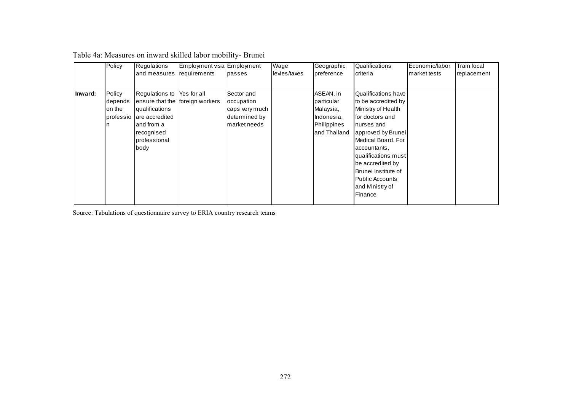|         | Policy    | Regulations                     | Employment visa Employment |                | Wage         | Geographic   | Qualifications               | Economic/labor | <b>Train local</b> |
|---------|-----------|---------------------------------|----------------------------|----------------|--------------|--------------|------------------------------|----------------|--------------------|
|         |           | and measures                    | requirements               | passes         | levies/taxes | preference   | criteria                     | market tests   | replacement        |
|         |           |                                 |                            |                |              |              |                              |                |                    |
| Inward: | Policy    | Regulations to                  | Yes for all                | Sector and     |              | ASEAN, in    | Qualifications have          |                |                    |
|         | depends   | ensure that the foreign workers |                            | occupation     |              | particular   | to be accredited by          |                |                    |
|         | on the    | qualifications                  |                            | caps very much |              | Malaysia,    | Ministry of Health           |                |                    |
|         | professio | are accredited                  |                            | determined by  |              | Indonesia,   | for doctors and              |                |                    |
|         |           | and from a                      |                            | market needs   |              | Philippines  | nurses and                   |                |                    |
|         |           | recognised                      |                            |                |              | and Thailand | approved by Brunei           |                |                    |
|         |           | professional                    |                            |                |              |              | Medical Board. For           |                |                    |
|         |           | body                            |                            |                |              |              | accountants,                 |                |                    |
|         |           |                                 |                            |                |              |              | qualifications must          |                |                    |
|         |           |                                 |                            |                |              |              | be accredited by             |                |                    |
|         |           |                                 |                            |                |              |              | <b>I</b> Brunei Institute of |                |                    |
|         |           |                                 |                            |                |              |              | <b>Public Accounts</b>       |                |                    |
|         |           |                                 |                            |                |              |              | and Ministry of              |                |                    |
|         |           |                                 |                            |                |              |              | Finance                      |                |                    |
|         |           |                                 |                            |                |              |              |                              |                |                    |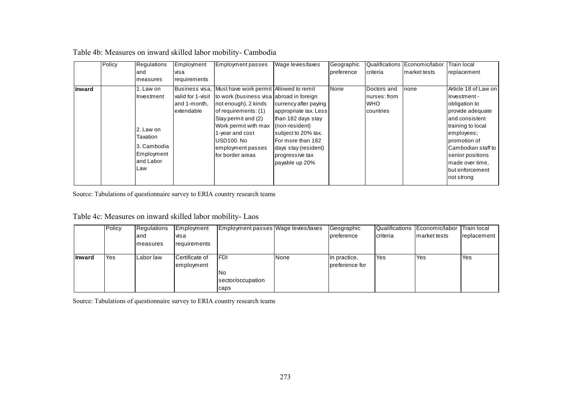|        | Policy | <b>Regulations</b> | Employment        | <b>Employment passes</b>                              | Wage levies/taxes     | Geographic | Qualifications | Economic/labor | Train local                 |
|--------|--------|--------------------|-------------------|-------------------------------------------------------|-----------------------|------------|----------------|----------------|-----------------------------|
|        |        | land               | visa              |                                                       |                       | preference | Icriteria      | market tests   | replacement                 |
|        |        | measures           | requirements      |                                                       |                       |            |                |                |                             |
| Inward |        | 1. Law on          |                   | Business visa, Must have work permit Allowed to remit |                       | None       | Doctors and    | none           | Article 18 of Law on        |
|        |        | Ilnvestment        | valid for 1-visit | to work (business visa abroad in foreign              |                       |            | nurses: from   |                | Investment -                |
|        |        |                    | and 1-month,      | not enough). 2 kinds                                  | currency after paying |            | <b>IWHO</b>    |                | obligation to               |
|        |        |                    | extendable        | of requirements: (1)                                  | appropriate tax. Less |            | Icountries     |                | provide adequate            |
|        |        |                    |                   | Stay permit and (2)                                   | than 182 days stay    |            |                |                | land consistent             |
|        |        | 2. Law on          |                   | Work permit with max                                  | (non-resident)        |            |                |                | training to local           |
|        |        | Taxation           |                   | 1-year and cost                                       | subject to 20% tax.   |            |                |                | employees;                  |
|        |        |                    |                   | USD100, No                                            | For more than 182     |            |                |                | Ipromotion of               |
|        |        | l3. Cambodia       |                   | employment passes                                     | days stay (resident)  |            |                |                | <b>I</b> Cambodian staff to |
|        |        | Employment         |                   | for border areas                                      | progressive tax       |            |                |                | senior positions            |
|        |        | and Labor          |                   |                                                       | payable up 20%        |            |                |                | made over time,             |
|        |        | Law                |                   |                                                       |                       |            |                |                | Ibut enforcement            |
|        |        |                    |                   |                                                       |                       |            |                |                | Inot strong                 |

## Table 4b: Measures on inward skilled labor mobility- Cambodia

Source: Tabulations of questionnaire survey to ERIA country research teams

## Table 4c: Measures on inward skilled labor mobility- Laos

|               | Policy | Regulations | Employment     | Employment passes Wage levies/taxes |             | Geographic     |            | Qualifications Economic/labor | Train local |
|---------------|--------|-------------|----------------|-------------------------------------|-------------|----------------|------------|-------------------------------|-------------|
|               |        | land        | visa           |                                     |             | preference     | criteria   | Imarket tests                 | replacement |
|               |        | Imeasures   | requirements   |                                     |             |                |            |                               |             |
|               |        |             |                |                                     |             |                |            |                               |             |
| <b>Inward</b> | Yes    | l Labor law | Certificate of | <b>IFDI</b>                         | <b>None</b> | In practice,   | <b>Yes</b> | <b>Yes</b>                    | <b>Yes</b>  |
|               |        |             | employment     |                                     |             | preference for |            |                               |             |
|               |        |             |                | lNo                                 |             |                |            |                               |             |
|               |        |             |                | sector/occupation                   |             |                |            |                               |             |
|               |        |             |                | caps                                |             |                |            |                               |             |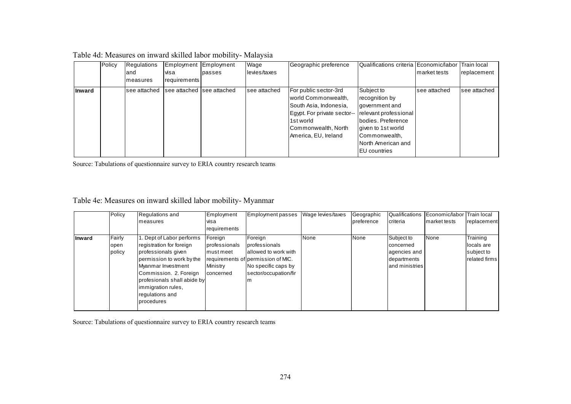| Table 4d: Measures on inward skilled labor mobility- Malaysia |  |  |
|---------------------------------------------------------------|--|--|
|---------------------------------------------------------------|--|--|

|               | Policy | <b>Regulations</b>                        | Employment Employment |        | Wage         | Geographic preference       | Qualifications criteria Economic/labor Train local |               |               |
|---------------|--------|-------------------------------------------|-----------------------|--------|--------------|-----------------------------|----------------------------------------------------|---------------|---------------|
|               |        | land                                      | visa                  | passes | levies/taxes |                             |                                                    | Imarket tests | replacement   |
|               |        | Imeasures                                 | <b>I</b> requirements |        |              |                             |                                                    |               |               |
| <b>Inward</b> |        | lsee attached Isee attached Isee attached |                       |        | see attached | For public sector-3rd       | Subject to                                         | see attached  | Isee attached |
|               |        |                                           |                       |        |              | world Commonwealth,         | recognition by                                     |               |               |
|               |        |                                           |                       |        |              | South Asia, Indonesia,      | government and                                     |               |               |
|               |        |                                           |                       |        |              | Egypt. For private sector-- | relevant professional                              |               |               |
|               |        |                                           |                       |        |              | 1st world                   | bodies. Preference                                 |               |               |
|               |        |                                           |                       |        |              | Commonwealth, North         | given to 1st world                                 |               |               |
|               |        |                                           |                       |        |              | America, EU, Ireland        | Commonwealth,                                      |               |               |
|               |        |                                           |                       |        |              |                             | North American and                                 |               |               |
|               |        |                                           |                       |        |              |                             | <b>EU</b> countries                                |               |               |

Source: Tabulations of questionnaire survey to ERIA country research teams

## Table 4e: Measures on inward skilled labor mobility- Myanmar

|        | Policy | Regulations and             | Employment    | <b>Employment passes</b>           | Wage levies/taxes | Geographic | Qualifications | Economic/labor Train local |               |
|--------|--------|-----------------------------|---------------|------------------------------------|-------------------|------------|----------------|----------------------------|---------------|
|        |        | Imeasures                   | visa          |                                    |                   | preference | Icriteria      | market tests               | replacement   |
|        |        |                             | requirements  |                                    |                   |            |                |                            |               |
| Inward | Fairly | 1. Dept of Labor performs   | Foreign       | Foreign                            | None              | None       | Subject to     | None                       | Training      |
|        | open   | registration for foreign    | professionals | professionals                      |                   |            | concerned      |                            | locals are    |
|        | policy | professionals given         | Imustmeet     | allowed to work with               |                   |            | agencies and   |                            | subject to    |
|        |        | permission to work by the   |               | requirements of permission of MIC. |                   |            | departments    |                            | related firms |
|        |        | Myanmar Investment          | Ministry      | No specific caps by                |                   |            | and ministries |                            |               |
|        |        | Commission. 2. Foreign      | concerned     | sector/occupation/fir              |                   |            |                |                            |               |
|        |        | profesionals shall abide by |               | m                                  |                   |            |                |                            |               |
|        |        | limmigration rules,         |               |                                    |                   |            |                |                            |               |
|        |        | regulations and             |               |                                    |                   |            |                |                            |               |
|        |        | <b>I</b> procedures         |               |                                    |                   |            |                |                            |               |
|        |        |                             |               |                                    |                   |            |                |                            |               |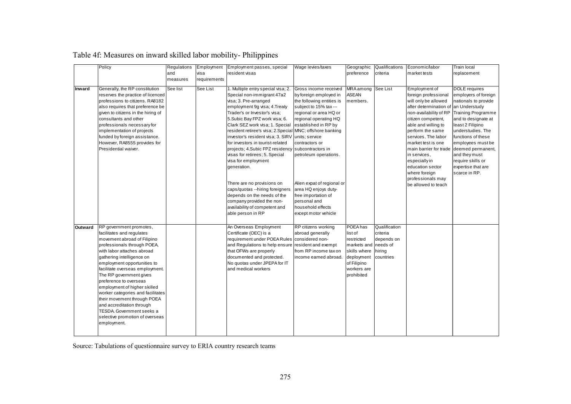| Table 4f: Measures on inward skilled labor mobility- Philippines |  |  |  |
|------------------------------------------------------------------|--|--|--|

|               | Policy                                                                                                                                                                                                                                                                                                                                                                                                                                                                                                                      | Regulations | Employment   | Employment passes, special                                                                                                                                                                                                                                                                                                                                                                                                                                                                                                                                                                                                                                                                           | Wage levies/taxes                                                                                                                                                                                                                                                                                                                                                     | Geographic                                                                                                                        | Qualifications                                                             | Economic/labor                                                                                                                                                                                                                                                                                                                                                                                | Train local                                                                                                                                                                                                                                                                                                |
|---------------|-----------------------------------------------------------------------------------------------------------------------------------------------------------------------------------------------------------------------------------------------------------------------------------------------------------------------------------------------------------------------------------------------------------------------------------------------------------------------------------------------------------------------------|-------------|--------------|------------------------------------------------------------------------------------------------------------------------------------------------------------------------------------------------------------------------------------------------------------------------------------------------------------------------------------------------------------------------------------------------------------------------------------------------------------------------------------------------------------------------------------------------------------------------------------------------------------------------------------------------------------------------------------------------------|-----------------------------------------------------------------------------------------------------------------------------------------------------------------------------------------------------------------------------------------------------------------------------------------------------------------------------------------------------------------------|-----------------------------------------------------------------------------------------------------------------------------------|----------------------------------------------------------------------------|-----------------------------------------------------------------------------------------------------------------------------------------------------------------------------------------------------------------------------------------------------------------------------------------------------------------------------------------------------------------------------------------------|------------------------------------------------------------------------------------------------------------------------------------------------------------------------------------------------------------------------------------------------------------------------------------------------------------|
|               |                                                                                                                                                                                                                                                                                                                                                                                                                                                                                                                             | and         | visa         | resident visas                                                                                                                                                                                                                                                                                                                                                                                                                                                                                                                                                                                                                                                                                       |                                                                                                                                                                                                                                                                                                                                                                       | preference                                                                                                                        | criteria                                                                   | market tests                                                                                                                                                                                                                                                                                                                                                                                  | replacement                                                                                                                                                                                                                                                                                                |
|               |                                                                                                                                                                                                                                                                                                                                                                                                                                                                                                                             | measures    | requirements |                                                                                                                                                                                                                                                                                                                                                                                                                                                                                                                                                                                                                                                                                                      |                                                                                                                                                                                                                                                                                                                                                                       |                                                                                                                                   |                                                                            |                                                                                                                                                                                                                                                                                                                                                                                               |                                                                                                                                                                                                                                                                                                            |
| <b>Inward</b> | Generally, the RP constitution<br>reserves the practice of licenced<br>professions to citizens. RA8182<br>also requires that preference be<br>given to citizens in the hiring of<br>consultants and other<br>professionals necessary for<br>implementation of projects<br>funded by foreign assistance.<br>However, RA8555 provides for<br>Presidential waiver.                                                                                                                                                             | See list    | See List     | 1. Multiple entry special visa; 2.<br>Special non-immigrant 47a2<br>visa; 3. Pre-arranged<br>employment 9q visa; 4. Treaty<br>Trader's or Investor's visa;<br>5.Subic Bay FPZ work visa; 6.<br>Clark SEZ work visa; 1. Special<br>resident retiree's visa; 2. Special MNC; offshore banking<br>investor's resident visa; 3. SIRV units; service<br>for investors in tourist-related<br>projects; 4. Subic FPZ residency subcontractors in<br>visas for retirees; 5. Special<br>visa for employment<br>generation.<br>There are no provisions on<br>caps/quotas --hiring foreigners<br>depends on the needs of the<br>company provided the non-<br>availability of competent and<br>able person in RP | Gross income received<br>by foreign employed in<br>the following entities is<br>subject to 15% tax---<br>regional or area HQ or<br>regional operating HQ<br>established in RP by<br>contractors or<br>petroleum operations.<br>Alien expat of regional or<br>area HQ enjoys duty-<br>free importation of<br>personal and<br>household effects<br>except motor vehicle | MRA among<br><b>ASEAN</b><br>members.                                                                                             | See List                                                                   | Employment of<br>foreign professional<br>will only be allowed<br>after determination of<br>non-availability of RP<br>citizen competent,<br>able and willing to<br>perform the same<br>services. The labor<br>market test is one<br>main barrier for trade deemed permanent,<br>in services,<br>especially in<br>education sector<br>where foreign<br>professionals may<br>be allowed to teach | <b>DOLE</b> requires<br>employers of foreign<br>nationals to provide<br>an Understudy<br><b>Training Programme</b><br>and to designate at<br>least 2 Filipino<br>understudies. The<br>functions of these<br>employees must be<br>and they must<br>require skills or<br>expertise that are<br>scarce in RP. |
| Outward       | RP government promotes,<br>facilitates and regulates<br>movement abroad of Filipino<br>professionals through POEA,<br>with labor attaches abroad<br>gathering intelligence on<br>employment opportunities to<br>facilitate overseas employment.<br>The RP government gives<br>preference to overseas<br>employment of higher skilled<br>worker categories and facilitates<br>their movement through POEA<br>and accreditation through<br><b>TESDA.</b> Government seeks a<br>selective promotion of overseas<br>employment. |             |              | An Overseas Employment<br>Certificate (OEC) is a<br>requirement under POEA Rules considered non-<br>and Regulations to help ensure<br>that OFWs are properly<br>documented and protected.<br>No quotas under JPEPA for IT<br>and medical workers                                                                                                                                                                                                                                                                                                                                                                                                                                                     | RP citizens working<br>abroad generally<br>resident and exempt<br>from RP income tax on<br>income earned abroad.                                                                                                                                                                                                                                                      | <b>POEA has</b><br>list of<br>restricted<br>markets and<br>skills where<br>deployment<br>of Filipino<br>workers are<br>prohibited | Qualification<br>criteria<br>depends on<br>needs of<br>hirina<br>countries |                                                                                                                                                                                                                                                                                                                                                                                               |                                                                                                                                                                                                                                                                                                            |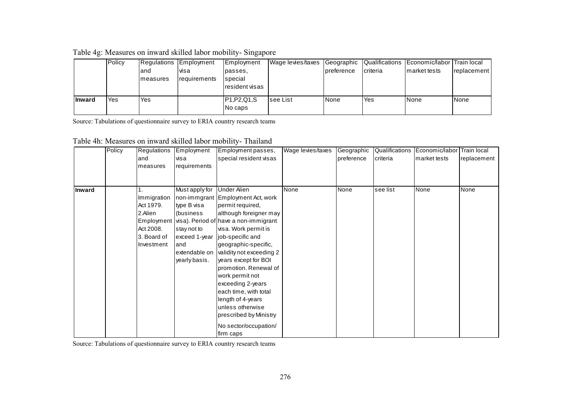| Table 4g: Measures on inward skilled labor mobility-Singapore |  |  |
|---------------------------------------------------------------|--|--|
|                                                               |  |  |

|               | Policy | land<br>Imeasures | Regulations Employment<br>visa<br>requirements | Employment<br>passes,<br>special<br>resident visas | Wage levies/taxes | Ipreference | <b>criteria</b> | Geographic Qualifications Economic/labor Train local<br>Imarket tests | replacement |
|---------------|--------|-------------------|------------------------------------------------|----------------------------------------------------|-------------------|-------------|-----------------|-----------------------------------------------------------------------|-------------|
| <b>Inward</b> | Yes    | Yes               |                                                | P1, P2, Q1, S<br>No caps                           | <b>Isee List</b>  | 'None       | Yes             | None                                                                  | None        |

Source: Tabulations of questionnaire survey to ERIA country research teams

| Table 4h: Measures on inward skilled labor mobility-Thailand |
|--------------------------------------------------------------|
|--------------------------------------------------------------|

|        | Policy | Regulations<br>and<br>measures                                                | Employment<br>visa<br>requirements                                                                                   | Employment passes,<br>special resident visas                                                                                                                                                                                                                                                                                                                                                                                                                                         | Wage levies/taxes | Geographic<br>preference | criteria | Qualifications Economic/labor Train local<br>market tests | replacement |
|--------|--------|-------------------------------------------------------------------------------|----------------------------------------------------------------------------------------------------------------------|--------------------------------------------------------------------------------------------------------------------------------------------------------------------------------------------------------------------------------------------------------------------------------------------------------------------------------------------------------------------------------------------------------------------------------------------------------------------------------------|-------------------|--------------------------|----------|-----------------------------------------------------------|-------------|
| Inward |        | Immigration<br>Act 1979.<br>2.Alien<br>Act 2008.<br>3. Board of<br>Investment | Must apply for<br>type B visa<br>(business<br>stay not to<br>exceed 1-year<br>land<br>extendable on<br>yearly basis. | <b>Under Alien</b><br>non-immgrant Employment Act, work<br>permit required,<br>although foreigner may<br>Employment visa). Period of have a non-immigrant<br>visa. Work permit is<br>job-specific and<br>geographic-specific,<br>validity not exceeding 2<br>years except for BOI<br>promotion. Renewal of<br>work permit not<br>exceeding 2-years<br>each time, with total<br>length of 4-years<br>unless otherwise<br>prescribed by Ministry<br>No sector/occupation/<br>firm caps | None              | None                     | see list | None                                                      | None        |

Source: Tabulations of questionnaire survey to ERIA country research teams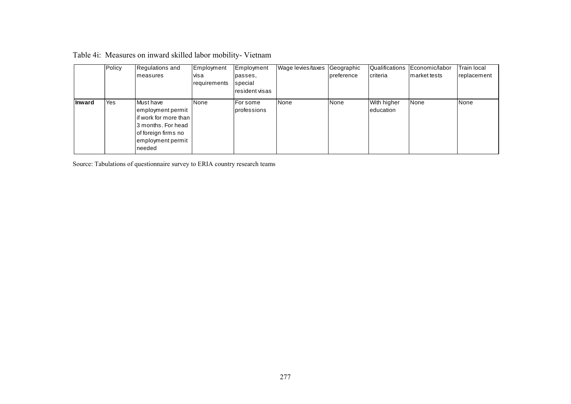|               | Policy | Regulations and<br>Imeasures                                                                                                            | Employment<br>visa<br>requirements | Employment<br>passes.<br>special<br>resident visas | Wage levies/taxes | Geographic<br>preference | Qualifications<br>criteria | Economic/labor<br>market tests | <b>Train local</b><br>replacement |
|---------------|--------|-----------------------------------------------------------------------------------------------------------------------------------------|------------------------------------|----------------------------------------------------|-------------------|--------------------------|----------------------------|--------------------------------|-----------------------------------|
| <b>Inward</b> | Yes    | Must have<br>employment permit<br>lif work for more than I<br>3 months. For head<br>of foreign firms no<br>employment permit<br>Ineeded | None                               | For some<br>professions                            | <b>None</b>       | None                     | With higher<br>education   | None                           | None                              |

| Table 4i: Measures on inward skilled labor mobility-Vietnam |  |  |  |
|-------------------------------------------------------------|--|--|--|
|-------------------------------------------------------------|--|--|--|

Source: Tabulations of questionnaire survey to ERIA country research teams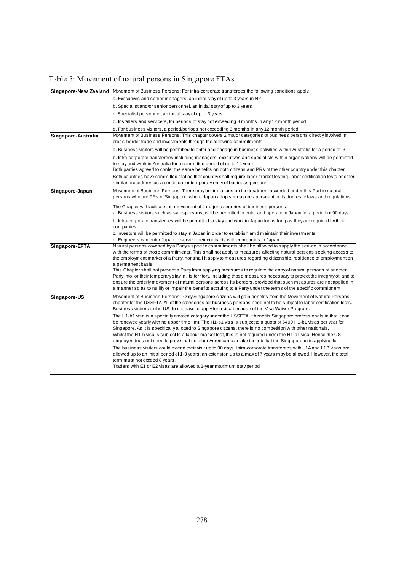| Table 5: Movement of natural persons in Singapore FTAs |  |  |  |
|--------------------------------------------------------|--|--|--|
|--------------------------------------------------------|--|--|--|

| Movement of Business Persons: For intra-corporate transferees the following conditions apply:                                                                                                                                                                                                                                                                                                                                                                                                                                                                                                                                                                                                                                                                                                                                                                                                                                                                                                                                                                                                                                                                                                                                                                                                          |
|--------------------------------------------------------------------------------------------------------------------------------------------------------------------------------------------------------------------------------------------------------------------------------------------------------------------------------------------------------------------------------------------------------------------------------------------------------------------------------------------------------------------------------------------------------------------------------------------------------------------------------------------------------------------------------------------------------------------------------------------------------------------------------------------------------------------------------------------------------------------------------------------------------------------------------------------------------------------------------------------------------------------------------------------------------------------------------------------------------------------------------------------------------------------------------------------------------------------------------------------------------------------------------------------------------|
| a. Executives and senior managers, an initial stay of up to 3 years in NZ                                                                                                                                                                                                                                                                                                                                                                                                                                                                                                                                                                                                                                                                                                                                                                                                                                                                                                                                                                                                                                                                                                                                                                                                                              |
| b. Specialist and/or senior personnel, an initial stay of up to 3 years                                                                                                                                                                                                                                                                                                                                                                                                                                                                                                                                                                                                                                                                                                                                                                                                                                                                                                                                                                                                                                                                                                                                                                                                                                |
| c. Specialist personnel, an initial stay of up to 3 years                                                                                                                                                                                                                                                                                                                                                                                                                                                                                                                                                                                                                                                                                                                                                                                                                                                                                                                                                                                                                                                                                                                                                                                                                                              |
| d. Installers and servicers, for periods of stay not exceeding 3 months in any 12 month period                                                                                                                                                                                                                                                                                                                                                                                                                                                                                                                                                                                                                                                                                                                                                                                                                                                                                                                                                                                                                                                                                                                                                                                                         |
| e. For business visitors, a period/periods not exceeding 3 months in any 12 month period                                                                                                                                                                                                                                                                                                                                                                                                                                                                                                                                                                                                                                                                                                                                                                                                                                                                                                                                                                                                                                                                                                                                                                                                               |
| Movement of Business Persons: This chapter covers 2 major categories of business persons directly involved in<br>cross-border trade and investments through the following commitments:                                                                                                                                                                                                                                                                                                                                                                                                                                                                                                                                                                                                                                                                                                                                                                                                                                                                                                                                                                                                                                                                                                                 |
| a. Business visitors will be permitted to enter and engage in business activities within Australia for a period of 3                                                                                                                                                                                                                                                                                                                                                                                                                                                                                                                                                                                                                                                                                                                                                                                                                                                                                                                                                                                                                                                                                                                                                                                   |
| b. Intra-corporate transferees including managers, executives and specialists within organisations will be permitted<br>to stay and work in Australia for a committed period of up to 14 years.<br>Both parties agreed to confer the same benefits on both citizens and PRs of the other country under this chapter.<br>Both countries have committed that neither country shall require labor market testing, labor certification tests or other                                                                                                                                                                                                                                                                                                                                                                                                                                                                                                                                                                                                                                                                                                                                                                                                                                                      |
| similar procedures as a condition for temporary entry of business persons                                                                                                                                                                                                                                                                                                                                                                                                                                                                                                                                                                                                                                                                                                                                                                                                                                                                                                                                                                                                                                                                                                                                                                                                                              |
| Movement of Business Persons: There may be limitations on the treatment accorded under this Part to natural<br>persons who are PRs of Singapore, where Japan adopts measures pursuant to its domestic laws and regulations                                                                                                                                                                                                                                                                                                                                                                                                                                                                                                                                                                                                                                                                                                                                                                                                                                                                                                                                                                                                                                                                             |
| The Chapter will facilitate the movement of 4 major categories of business persons:<br>a. Business visitors such as salespersons, will be permitted to enter and operate in Japan for a period of 90 days.                                                                                                                                                                                                                                                                                                                                                                                                                                                                                                                                                                                                                                                                                                                                                                                                                                                                                                                                                                                                                                                                                             |
| b. Intra-corporate transferees will be permitted to stay and work in Japan for as long as they are required by their<br>companies.                                                                                                                                                                                                                                                                                                                                                                                                                                                                                                                                                                                                                                                                                                                                                                                                                                                                                                                                                                                                                                                                                                                                                                     |
| c. Investors will be permitted to stay in Japan in order to establish amd maintain their investments<br>d. Engineers can enter Japan to service their contracts with companies in Japan                                                                                                                                                                                                                                                                                                                                                                                                                                                                                                                                                                                                                                                                                                                                                                                                                                                                                                                                                                                                                                                                                                                |
| Natural persons covefred by a Party's specific commitments shall be allowed to supply the serivce in accordance<br>with the terms of those commitments. This shall not apply to measures affecting natural persons seeking access to<br>the employment market of a Party, nor shall it apply to measures regarding citizenship, residence of employment on<br>a permanent basis.<br>This Chapter shall not prevent a Party from applying measures to regulate the entry of natural persons of another<br>Party into, or their temporary stay in, its territory, including those measures necessary to protect the integrity of, and to<br>ensure the orderly movement of natural persons across its borders, provided that such measures are not applied in<br>a manner so as to nullify or impair the benefits accruing to a Party under the terms of the specific commitment                                                                                                                                                                                                                                                                                                                                                                                                                         |
| Movement of Business Persons: Only Singapore citizens will gain benefits from the Movement of Natural Persons<br>chapter for the USSFTA. All of the categories for business persons need not to be subject to labor certification tests.<br>Business visitors to the US do not have to apply for a visa because of the Visa Waiver Program.<br>The H1-b1 visa is a specially created category under the USSFTA. It benefits Singapore professionals in that it can<br>be renewed yearly with no upper time limt. The H1-b1 visa is subject to a quota of 5400 H1-b1 visas per year for<br>Singapore. As it is specifically allotted to Singapore citizens, there is no competition with other nationals.<br>Whilst the H1-b visa is subject to a labour market test, this is not required under the H1-b1 visa. Hence the US<br>employer does not need to prove that no other American can take the job that the Singaporean is applying for.<br>The business visitors could extend their visit up to 90 days. Intra-corporate transferees with L1A and L1B visas are<br>allowed up to an initial period of 1-3 years, an extension up to a max of 7 years may be allowed. However, the total<br>term must not exceed 8 years.<br>Traders with E1 or E2 visas are allowed a 2-year maximum stay period |
|                                                                                                                                                                                                                                                                                                                                                                                                                                                                                                                                                                                                                                                                                                                                                                                                                                                                                                                                                                                                                                                                                                                                                                                                                                                                                                        |